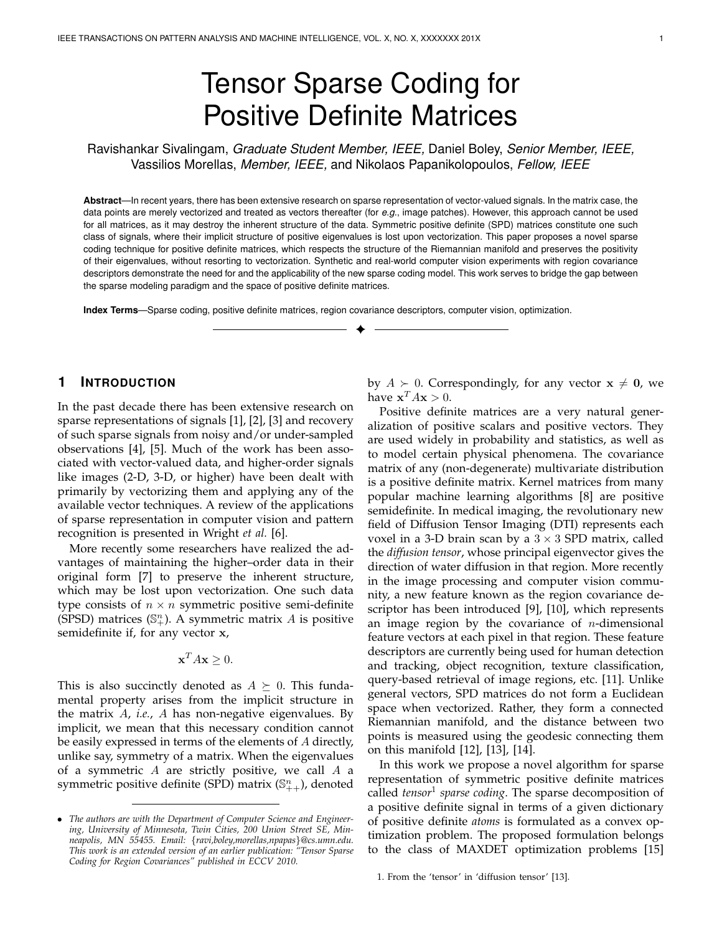# Tensor Sparse Coding for Positive Definite Matrices

Ravishankar Sivalingam, *Graduate Student Member, IEEE,* Daniel Boley, *Senior Member, IEEE,* Vassilios Morellas, *Member, IEEE,* and Nikolaos Papanikolopoulos, *Fellow, IEEE*

**Abstract**—In recent years, there has been extensive research on sparse representation of vector-valued signals. In the matrix case, the data points are merely vectorized and treated as vectors thereafter (for *e.g.*, image patches). However, this approach cannot be used for all matrices, as it may destroy the inherent structure of the data. Symmetric positive definite (SPD) matrices constitute one such class of signals, where their implicit structure of positive eigenvalues is lost upon vectorization. This paper proposes a novel sparse coding technique for positive definite matrices, which respects the structure of the Riemannian manifold and preserves the positivity of their eigenvalues, without resorting to vectorization. Synthetic and real-world computer vision experiments with region covariance descriptors demonstrate the need for and the applicability of the new sparse coding model. This work serves to bridge the gap between the sparse modeling paradigm and the space of positive definite matrices.

✦

**Index Terms**—Sparse coding, positive definite matrices, region covariance descriptors, computer vision, optimization.

# **1 INTRODUCTION**

In the past decade there has been extensive research on sparse representations of signals [1], [2], [3] and recovery of such sparse signals from noisy and/or under-sampled observations [4], [5]. Much of the work has been associated with vector-valued data, and higher-order signals like images (2-D, 3-D, or higher) have been dealt with primarily by vectorizing them and applying any of the available vector techniques. A review of the applications of sparse representation in computer vision and pattern recognition is presented in Wright *et al.* [6].

More recently some researchers have realized the advantages of maintaining the higher–order data in their original form [7] to preserve the inherent structure, which may be lost upon vectorization. One such data type consists of  $n \times n$  symmetric positive semi-definite (SPSD) matrices ( $\mathbb{S}^n_+$ ). A symmetric matrix A is positive semidefinite if, for any vector x,

$$
\mathbf{x}^T A \mathbf{x} \ge 0.
$$

This is also succinctly denoted as  $A \succeq 0$ . This fundamental property arises from the implicit structure in the matrix A, *i.e.*, A has non-negative eigenvalues. By implicit, we mean that this necessary condition cannot be easily expressed in terms of the elements of A directly, unlike say, symmetry of a matrix. When the eigenvalues of a symmetric  $A$  are strictly positive, we call  $A$  a symmetric positive definite (SPD) matrix ( $\mathbb{S}^n_{++}$ ), denoted

by  $A \succ 0$ . Correspondingly, for any vector  $x \neq 0$ , we have  $\mathbf{x}^T A \mathbf{x} > 0$ .

Positive definite matrices are a very natural generalization of positive scalars and positive vectors. They are used widely in probability and statistics, as well as to model certain physical phenomena. The covariance matrix of any (non-degenerate) multivariate distribution is a positive definite matrix. Kernel matrices from many popular machine learning algorithms [8] are positive semidefinite. In medical imaging, the revolutionary new field of Diffusion Tensor Imaging (DTI) represents each voxel in a 3-D brain scan by a  $3 \times 3$  SPD matrix, called the *diffusion tensor*, whose principal eigenvector gives the direction of water diffusion in that region. More recently in the image processing and computer vision community, a new feature known as the region covariance descriptor has been introduced [9], [10], which represents an image region by the covariance of  $n$ -dimensional feature vectors at each pixel in that region. These feature descriptors are currently being used for human detection and tracking, object recognition, texture classification, query-based retrieval of image regions, etc. [11]. Unlike general vectors, SPD matrices do not form a Euclidean space when vectorized. Rather, they form a connected Riemannian manifold, and the distance between two points is measured using the geodesic connecting them on this manifold [12], [13], [14].

In this work we propose a novel algorithm for sparse representation of symmetric positive definite matrices called *tensor*<sup>1</sup> *sparse coding*. The sparse decomposition of a positive definite signal in terms of a given dictionary of positive definite *atoms* is formulated as a convex optimization problem. The proposed formulation belongs to the class of MAXDET optimization problems [15]

1. From the 'tensor' in 'diffusion tensor' [13].

<sup>•</sup> *The authors are with the Department of Computer Science and Engineering, University of Minnesota, Twin Cities, 200 Union Street SE, Minneapolis, MN 55455. Email:* {*ravi,boley,morellas,npapas*}*@cs.umn.edu. This work is an extended version of an earlier publication: "Tensor Sparse Coding for Region Covariances" published in ECCV 2010.*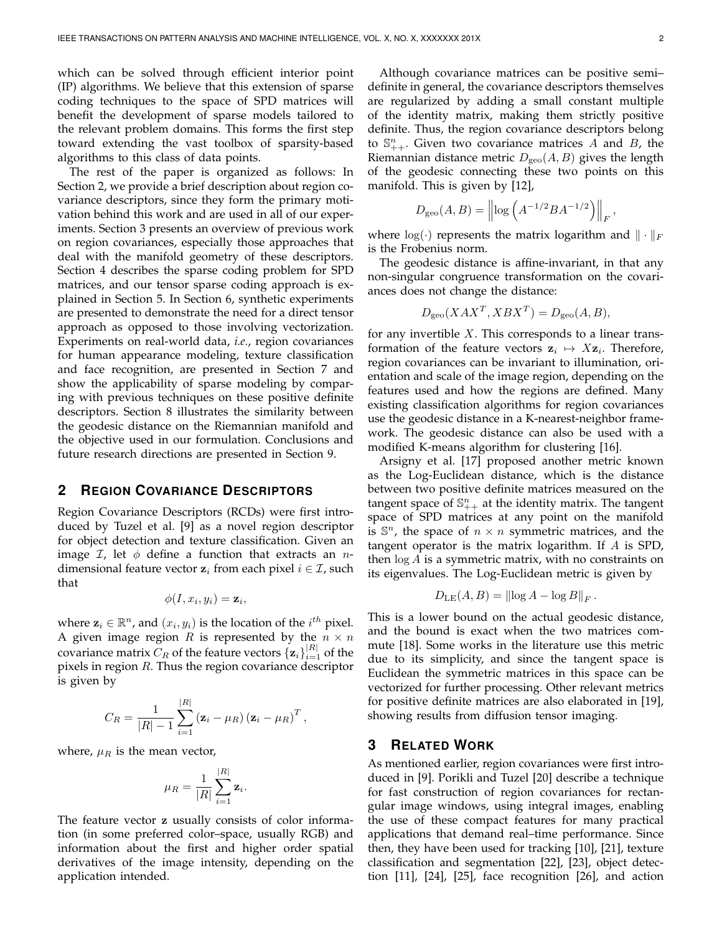which can be solved through efficient interior point (IP) algorithms. We believe that this extension of sparse coding techniques to the space of SPD matrices will benefit the development of sparse models tailored to the relevant problem domains. This forms the first step toward extending the vast toolbox of sparsity-based algorithms to this class of data points.

The rest of the paper is organized as follows: In Section 2, we provide a brief description about region covariance descriptors, since they form the primary motivation behind this work and are used in all of our experiments. Section 3 presents an overview of previous work on region covariances, especially those approaches that deal with the manifold geometry of these descriptors. Section 4 describes the sparse coding problem for SPD matrices, and our tensor sparse coding approach is explained in Section 5. In Section 6, synthetic experiments are presented to demonstrate the need for a direct tensor approach as opposed to those involving vectorization. Experiments on real-world data, *i.e.*, region covariances for human appearance modeling, texture classification and face recognition, are presented in Section 7 and show the applicability of sparse modeling by comparing with previous techniques on these positive definite descriptors. Section 8 illustrates the similarity between the geodesic distance on the Riemannian manifold and the objective used in our formulation. Conclusions and future research directions are presented in Section 9.

## **2 REGION COVARIANCE DESCRIPTORS**

Region Covariance Descriptors (RCDs) were first introduced by Tuzel et al. [9] as a novel region descriptor for object detection and texture classification. Given an image  $\mathcal{I}$ , let  $\phi$  define a function that extracts an *n*dimensional feature vector  $z_i$  from each pixel  $i \in \mathcal{I}$ , such that

$$
\phi(I, x_i, y_i) = \mathbf{z}_i,
$$

where  $\mathbf{z}_i \in \mathbb{R}^n$ , and  $(x_i, y_i)$  is the location of the  $i^{th}$  pixel. A given image region  $R$  is represented by the  $n \times n$ covariance matrix  $C_R$  of the feature vectors  $\{z_i\}_{i=1}^{|R|}$  of the pixels in region  $R$ . Thus the region covariance descriptor is given by

$$
C_R = \frac{1}{|R| - 1} \sum_{i=1}^{|R|} (\mathbf{z}_i - \mu_R) (\mathbf{z}_i - \mu_R)^T,
$$

where,  $\mu_R$  is the mean vector,

$$
\mu_R = \frac{1}{|R|} \sum_{i=1}^{|R|} \mathbf{z}_i.
$$

The feature vector z usually consists of color information (in some preferred color–space, usually RGB) and information about the first and higher order spatial derivatives of the image intensity, depending on the application intended.

Although covariance matrices can be positive semi– definite in general, the covariance descriptors themselves are regularized by adding a small constant multiple of the identity matrix, making them strictly positive definite. Thus, the region covariance descriptors belong to  $\mathbb{S}_{++}^n$ . Given two covariance matrices  $\hat{A}$  and  $\hat{B}$ , the Riemannian distance metric  $D_{\text{geo}}(A, B)$  gives the length of the geodesic connecting these two points on this manifold. This is given by [12],

$$
D_{\rm geo}(A, B) = \left\| \log \left( A^{-1/2} B A^{-1/2} \right) \right\|_F,
$$

where  $log(\cdot)$  represents the matrix logarithm and  $\|\cdot\|_F$ is the Frobenius norm.

The geodesic distance is affine-invariant, in that any non-singular congruence transformation on the covariances does not change the distance:

$$
D_{\rm geo}(XAX^T, XBX^T) = D_{\rm geo}(A, B),
$$

for any invertible  $X$ . This corresponds to a linear transformation of the feature vectors  $z_i \mapsto Xz_i$ . Therefore, region covariances can be invariant to illumination, orientation and scale of the image region, depending on the features used and how the regions are defined. Many existing classification algorithms for region covariances use the geodesic distance in a K-nearest-neighbor framework. The geodesic distance can also be used with a modified K-means algorithm for clustering [16].

Arsigny et al. [17] proposed another metric known as the Log-Euclidean distance, which is the distance between two positive definite matrices measured on the tangent space of  $\mathbb{S}_{++}^n$  at the identity matrix. The tangent space of SPD matrices at any point on the manifold is  $\mathbb{S}^n$ , the space of  $n \times n$  symmetric matrices, and the tangent operator is the matrix logarithm. If A is SPD, then  $log A$  is a symmetric matrix, with no constraints on its eigenvalues. The Log-Euclidean metric is given by

$$
D_{\rm LE}(A, B) = ||\log A - \log B||_F.
$$

This is a lower bound on the actual geodesic distance, and the bound is exact when the two matrices commute [18]. Some works in the literature use this metric due to its simplicity, and since the tangent space is Euclidean the symmetric matrices in this space can be vectorized for further processing. Other relevant metrics for positive definite matrices are also elaborated in [19], showing results from diffusion tensor imaging.

# **3 RELATED WORK**

As mentioned earlier, region covariances were first introduced in [9]. Porikli and Tuzel [20] describe a technique for fast construction of region covariances for rectangular image windows, using integral images, enabling the use of these compact features for many practical applications that demand real–time performance. Since then, they have been used for tracking [10], [21], texture classification and segmentation [22], [23], object detection [11], [24], [25], face recognition [26], and action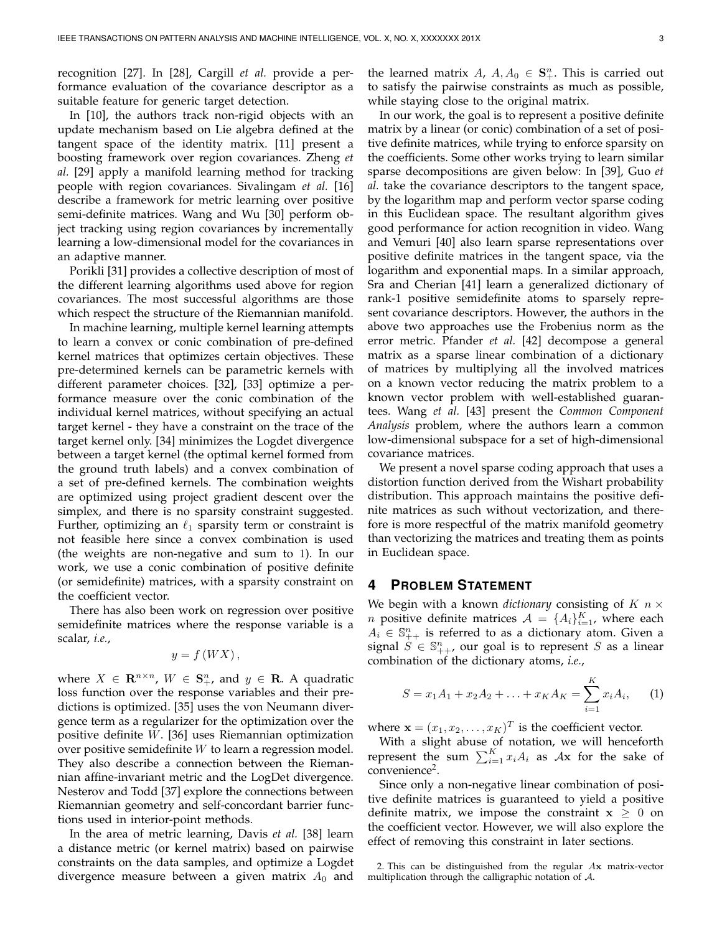recognition [27]. In [28], Cargill *et al.* provide a performance evaluation of the covariance descriptor as a suitable feature for generic target detection.

In [10], the authors track non-rigid objects with an update mechanism based on Lie algebra defined at the tangent space of the identity matrix. [11] present a boosting framework over region covariances. Zheng *et al.* [29] apply a manifold learning method for tracking people with region covariances. Sivalingam *et al.* [16] describe a framework for metric learning over positive semi-definite matrices. Wang and Wu [30] perform object tracking using region covariances by incrementally learning a low-dimensional model for the covariances in an adaptive manner.

Porikli [31] provides a collective description of most of the different learning algorithms used above for region covariances. The most successful algorithms are those which respect the structure of the Riemannian manifold.

In machine learning, multiple kernel learning attempts to learn a convex or conic combination of pre-defined kernel matrices that optimizes certain objectives. These pre-determined kernels can be parametric kernels with different parameter choices. [32], [33] optimize a performance measure over the conic combination of the individual kernel matrices, without specifying an actual target kernel - they have a constraint on the trace of the target kernel only. [34] minimizes the Logdet divergence between a target kernel (the optimal kernel formed from the ground truth labels) and a convex combination of a set of pre-defined kernels. The combination weights are optimized using project gradient descent over the simplex, and there is no sparsity constraint suggested. Further, optimizing an  $\ell_1$  sparsity term or constraint is not feasible here since a convex combination is used (the weights are non-negative and sum to 1). In our work, we use a conic combination of positive definite (or semidefinite) matrices, with a sparsity constraint on the coefficient vector.

There has also been work on regression over positive semidefinite matrices where the response variable is a scalar, *i.e.*,

$$
y = f\left(WX\right),
$$

where  $X \in \mathbb{R}^{n \times n}$ ,  $W \in \mathbb{S}^n_+$ , and  $y \in \mathbb{R}$ . A quadratic loss function over the response variables and their predictions is optimized. [35] uses the von Neumann divergence term as a regularizer for the optimization over the positive definite W. [36] uses Riemannian optimization over positive semidefinite W to learn a regression model. They also describe a connection between the Riemannian affine-invariant metric and the LogDet divergence. Nesterov and Todd [37] explore the connections between Riemannian geometry and self-concordant barrier functions used in interior-point methods.

In the area of metric learning, Davis *et al.* [38] learn a distance metric (or kernel matrix) based on pairwise constraints on the data samples, and optimize a Logdet divergence measure between a given matrix  $A_0$  and

the learned matrix  $A, A_0 \in \mathbf{S}_{+}^n$ . This is carried out to satisfy the pairwise constraints as much as possible, while staying close to the original matrix.

In our work, the goal is to represent a positive definite matrix by a linear (or conic) combination of a set of positive definite matrices, while trying to enforce sparsity on the coefficients. Some other works trying to learn similar sparse decompositions are given below: In [39], Guo *et al.* take the covariance descriptors to the tangent space, by the logarithm map and perform vector sparse coding in this Euclidean space. The resultant algorithm gives good performance for action recognition in video. Wang and Vemuri [40] also learn sparse representations over positive definite matrices in the tangent space, via the logarithm and exponential maps. In a similar approach, Sra and Cherian [41] learn a generalized dictionary of rank-1 positive semidefinite atoms to sparsely represent covariance descriptors. However, the authors in the above two approaches use the Frobenius norm as the error metric. Pfander *et al.* [42] decompose a general matrix as a sparse linear combination of a dictionary of matrices by multiplying all the involved matrices on a known vector reducing the matrix problem to a known vector problem with well-established guarantees. Wang *et al.* [43] present the *Common Component Analysis* problem, where the authors learn a common low-dimensional subspace for a set of high-dimensional covariance matrices.

We present a novel sparse coding approach that uses a distortion function derived from the Wishart probability distribution. This approach maintains the positive definite matrices as such without vectorization, and therefore is more respectful of the matrix manifold geometry than vectorizing the matrices and treating them as points in Euclidean space.

## **4 PROBLEM STATEMENT**

We begin with a known *dictionary* consisting of  $K$   $n \times$ *n* positive definite matrices  $A = \{A_i\}_{i=1}^K$ , where each  $A_i \in \mathbb{S}_{++}^n$  is referred to as a dictionary atom. Given a signal  $S \in \mathbb{S}_{++}^n$ , our goal is to represent S as a linear combination of the dictionary atoms, *i.e.*,

$$
S = x_1 A_1 + x_2 A_2 + \ldots + x_K A_K = \sum_{i=1}^K x_i A_i, \qquad (1)
$$

where  $\mathbf{x} = (x_1, x_2, \dots, x_K)^T$  is the coefficient vector.

With a slight abuse of notation, we will henceforth represent the sum  $\sum_{i=1}^{K} x_i A_i$  as  $A\mathbf{x}$  for the sake of convenience<sup>2</sup>.

Since only a non-negative linear combination of positive definite matrices is guaranteed to yield a positive definite matrix, we impose the constraint  $x \geq 0$  on the coefficient vector. However, we will also explore the effect of removing this constraint in later sections.

<sup>2.</sup> This can be distinguished from the regular Ax matrix-vector multiplication through the calligraphic notation of A.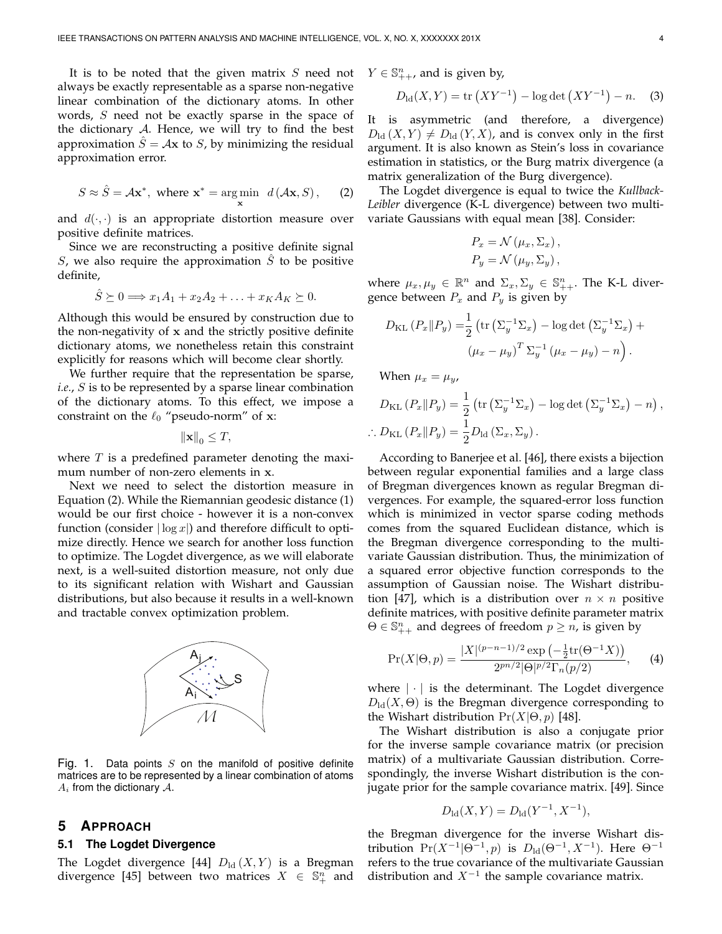It is to be noted that the given matrix  $S$  need not always be exactly representable as a sparse non-negative linear combination of the dictionary atoms. In other words,  $S$  need not be exactly sparse in the space of the dictionary  $A$ . Hence, we will try to find the best approximation  $\ddot{S} = Ax$  to S, by minimizing the residual approximation error.

$$
S \approx \hat{S} = A\mathbf{x}^*, \text{ where } \mathbf{x}^* = \underset{\mathbf{x}}{\text{arg min}} \ d\left(\mathcal{A}\mathbf{x}, S\right), \qquad (2)
$$

and  $d(\cdot, \cdot)$  is an appropriate distortion measure over positive definite matrices.

Since we are reconstructing a positive definite signal S, we also require the approximation  $\tilde{S}$  to be positive definite,

$$
\hat{S} \succeq 0 \Longrightarrow x_1 A_1 + x_2 A_2 + \ldots + x_K A_K \succeq 0.
$$

Although this would be ensured by construction due to the non-negativity of x and the strictly positive definite dictionary atoms, we nonetheless retain this constraint explicitly for reasons which will become clear shortly.

We further require that the representation be sparse, *i.e.*, S is to be represented by a sparse linear combination of the dictionary atoms. To this effect, we impose a constraint on the  $\ell_0$  "pseudo-norm" of x:

 $\|\mathbf{x}\|_0 \leq T$ ,

where  $T$  is a predefined parameter denoting the maximum number of non-zero elements in x.

Next we need to select the distortion measure in Equation (2). While the Riemannian geodesic distance (1) would be our first choice - however it is a non-convex function (consider  $|\log x|$ ) and therefore difficult to optimize directly. Hence we search for another loss function to optimize. The Logdet divergence, as we will elaborate next, is a well-suited distortion measure, not only due to its significant relation with Wishart and Gaussian distributions, but also because it results in a well-known and tractable convex optimization problem.



Fig. 1. Data points  $S$  on the manifold of positive definite matrices are to be represented by a linear combination of atoms  $A_i$  from the dictionary  $A_i$ .

# **5 APPROACH**

#### **5.1 The Logdet Divergence**

The Logdet divergence [44]  $D<sub>ld</sub>(X, Y)$  is a Bregman divergence [45] between two matrices  $X \in \mathbb{S}^n_+$  and  $Y \in \mathbb{S}_{++}^n$ , and is given by,

$$
D_{\rm ld}(X, Y) = \text{tr}\left(XY^{-1}\right) - \log \det\left(XY^{-1}\right) - n. \tag{3}
$$

It is asymmetric (and therefore, a divergence)  $D_{\text{ld}}(X, Y) \neq D_{\text{ld}}(Y, X)$ , and is convex only in the first argument. It is also known as Stein's loss in covariance estimation in statistics, or the Burg matrix divergence (a matrix generalization of the Burg divergence).

The Logdet divergence is equal to twice the *Kullback-Leibler* divergence (K-L divergence) between two multivariate Gaussians with equal mean [38]. Consider:

$$
P_x = \mathcal{N}(\mu_x, \Sigma_x),
$$
  

$$
P_y = \mathcal{N}(\mu_y, \Sigma_y),
$$

where  $\mu_x, \mu_y \in \mathbb{R}^n$  and  $\Sigma_x, \Sigma_y \in \mathbb{S}_{++}^n$ . The K-L divergence between  $P_x$  and  $P_y$  is given by

$$
D_{\text{KL}}\left(P_x \| P_y\right) = \frac{1}{2} \left( \text{tr}\left(\Sigma_y^{-1} \Sigma_x\right) - \log \det \left(\Sigma_y^{-1} \Sigma_x\right) + \left(\mu_x - \mu_y\right)^T \Sigma_y^{-1} \left(\mu_x - \mu_y\right) - n \right).
$$

When  $\mu_x = \mu_y$ ,

$$
D_{\text{KL}}(P_x \| P_y) = \frac{1}{2} \left( \text{tr} \left( \Sigma_y^{-1} \Sigma_x \right) - \log \det \left( \Sigma_y^{-1} \Sigma_x \right) - n \right),
$$
  

$$
\therefore D_{\text{KL}}(P_x \| P_y) = \frac{1}{2} D_{\text{ld}}(\Sigma_x, \Sigma_y).
$$

According to Banerjee et al. [46], there exists a bijection between regular exponential families and a large class of Bregman divergences known as regular Bregman divergences. For example, the squared-error loss function which is minimized in vector sparse coding methods comes from the squared Euclidean distance, which is the Bregman divergence corresponding to the multivariate Gaussian distribution. Thus, the minimization of a squared error objective function corresponds to the assumption of Gaussian noise. The Wishart distribution [47], which is a distribution over  $n \times n$  positive definite matrices, with positive definite parameter matrix  $\Theta \in \mathbb{S}_{++}^n$  and degrees of freedom  $p \geq n$ , is given by

$$
\Pr(X|\Theta, p) = \frac{|X|^{(p-n-1)/2} \exp\left(-\frac{1}{2} \text{tr}(\Theta^{-1} X)\right)}{2^{pn/2} |\Theta|^{p/2} \Gamma_n(p/2)},\qquad(4)
$$

where  $|\cdot|$  is the determinant. The Logdet divergence  $D_{\text{ld}}(X,\Theta)$  is the Bregman divergence corresponding to the Wishart distribution  $Pr(X|\Theta, p)$  [48].

The Wishart distribution is also a conjugate prior for the inverse sample covariance matrix (or precision matrix) of a multivariate Gaussian distribution. Correspondingly, the inverse Wishart distribution is the conjugate prior for the sample covariance matrix. [49]. Since

$$
D_{\rm ld}(X, Y) = D_{\rm ld}(Y^{-1}, X^{-1}),
$$

the Bregman divergence for the inverse Wishart distribution  $Pr(X^{-1}|\Theta^{-1}, p)$  is  $D_{\text{ld}}(\Theta^{-1}, X^{-1})$ . Here  $\Theta^{-1}$ refers to the true covariance of the multivariate Gaussian distribution and  $X^{-1}$  the sample covariance matrix.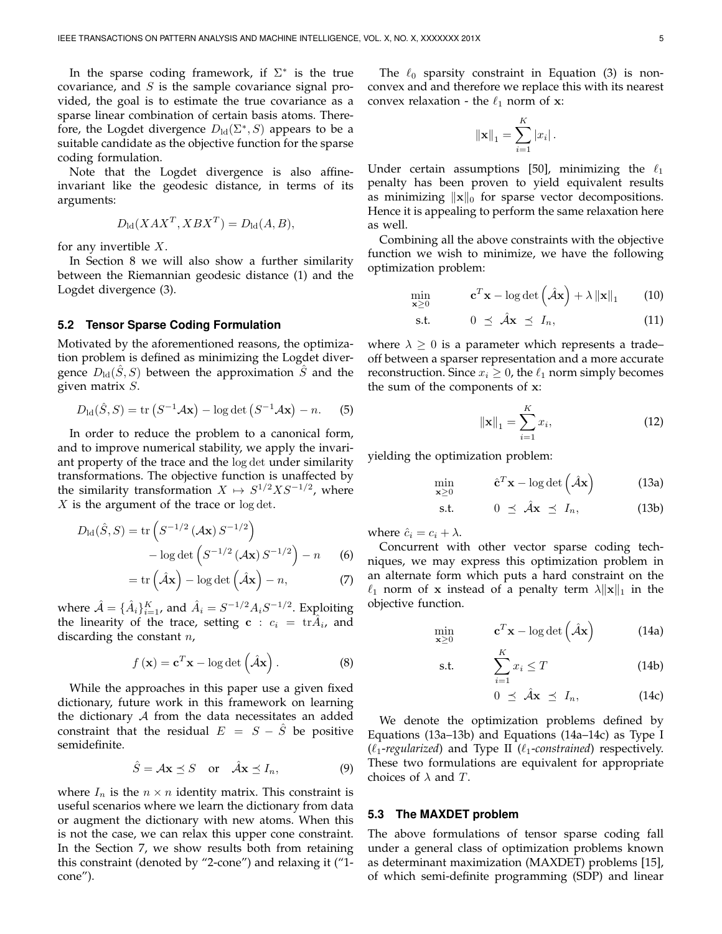In the sparse coding framework, if  $\Sigma^*$  is the true covariance, and  $S$  is the sample covariance signal provided, the goal is to estimate the true covariance as a sparse linear combination of certain basis atoms. Therefore, the Logdet divergence  $D_{\rm ld}(\Sigma^*,S)$  appears to be a suitable candidate as the objective function for the sparse coding formulation.

Note that the Logdet divergence is also affineinvariant like the geodesic distance, in terms of its arguments:

$$
D_{\rm ld}(XAX^T, XBX^T) = D_{\rm ld}(A, B),
$$

for any invertible  $X$ .

In Section 8 we will also show a further similarity between the Riemannian geodesic distance (1) and the Logdet divergence (3).

#### **5.2 Tensor Sparse Coding Formulation**

Motivated by the aforementioned reasons, the optimization problem is defined as minimizing the Logdet divergence  $D<sub>ld</sub>(S, S)$  between the approximation S and the given matrix S.

$$
D_{\mathrm{ld}}(\hat{S}, S) = \mathrm{tr}\left(S^{-1} \mathcal{A} \mathbf{x}\right) - \log \det\left(S^{-1} \mathcal{A} \mathbf{x}\right) - n. \tag{5}
$$

In order to reduce the problem to a canonical form, and to improve numerical stability, we apply the invariant property of the trace and the log det under similarity transformations. The objective function is unaffected by the similarity transformation  $X \mapsto S^{1/2} X S^{-1/2}$ , where  $X$  is the argument of the trace or  $\log \det Y$ .

$$
D_{\rm ld}(\hat{S}, S) = \text{tr}\left(S^{-1/2} \left(\mathcal{A} \mathbf{x}\right) S^{-1/2}\right) \\
- \log \det \left(S^{-1/2} \left(\mathcal{A} \mathbf{x}\right) S^{-1/2}\right) - n\n\tag{6}
$$

$$
= \text{tr}\left(\hat{\mathcal{A}}\mathbf{x}\right) - \log \det\left(\hat{\mathcal{A}}\mathbf{x}\right) - n,\tag{7}
$$

where  $\hat{\mathcal{A}} = {\{\hat{A}_i\}}_{i=1}^K$ , and  $\hat{A}_i = S^{-1/2} A_i S^{-1/2}$ . Exploiting the linearity of the trace, setting  $\mathbf{c}$  :  $c_i = \text{tr}\hat{A}_i$ , and discarding the constant  $n$ ,

$$
f(\mathbf{x}) = \mathbf{c}^T \mathbf{x} - \log \det \left( \hat{\mathcal{A}} \mathbf{x} \right).
$$
 (8)

While the approaches in this paper use a given fixed dictionary, future work in this framework on learning the dictionary  $A$  from the data necessitates an added constraint that the residual  $E = S - \tilde{S}$  be positive semidefinite.

$$
\hat{S} = A\mathbf{x} \preceq S \quad \text{or} \quad \hat{A}\mathbf{x} \preceq I_n,\tag{9}
$$

where  $I_n$  is the  $n \times n$  identity matrix. This constraint is useful scenarios where we learn the dictionary from data or augment the dictionary with new atoms. When this is not the case, we can relax this upper cone constraint. In the Section 7, we show results both from retaining this constraint (denoted by "2-cone") and relaxing it ("1 cone").

The  $\ell_0$  sparsity constraint in Equation (3) is nonconvex and and therefore we replace this with its nearest convex relaxation - the  $\ell_1$  norm of **x**:

$$
\|\mathbf{x}\|_{1} = \sum_{i=1}^{K} |x_{i}|.
$$

Under certain assumptions [50], minimizing the  $\ell_1$ penalty has been proven to yield equivalent results as minimizing  $\|\mathbf{x}\|_0$  for sparse vector decompositions. Hence it is appealing to perform the same relaxation here as well.

Combining all the above constraints with the objective function we wish to minimize, we have the following optimization problem:

$$
\min_{\mathbf{x} \ge 0} \qquad \mathbf{c}^T \mathbf{x} - \log \det \left( \hat{\mathcal{A}} \mathbf{x} \right) + \lambda \left\| \mathbf{x} \right\|_1 \qquad (10)
$$

$$
\text{s.t.} \qquad \qquad 0 \ \preceq \ \hat{\mathcal{A}} \mathbf{x} \ \preceq \ I_n, \tag{11}
$$

where  $\lambda \geq 0$  is a parameter which represents a trade– off between a sparser representation and a more accurate reconstruction. Since  $x_i \geq 0$ , the  $\ell_1$  norm simply becomes the sum of the components of x:

$$
\|\mathbf{x}\|_{1} = \sum_{i=1}^{K} x_{i},\tag{12}
$$

yielding the optimization problem:

$$
\min_{\mathbf{x} \ge 0} \qquad \hat{\mathbf{c}}^T \mathbf{x} - \log \det \left( \hat{\mathcal{A}} \mathbf{x} \right) \tag{13a}
$$

$$
\text{s.t.} \qquad \qquad 0 \ \preceq \ \hat{\mathcal{A}} \mathbf{x} \ \preceq \ I_n, \tag{13b}
$$

where  $\hat{c}_i = c_i + \lambda$ .

Concurrent with other vector sparse coding techniques, we may express this optimization problem in an alternate form which puts a hard constraint on the  $\ell_1$  norm of x instead of a penalty term  $\lambda ||\mathbf{x}||_1$  in the objective function.

$$
\min_{\mathbf{x} \ge 0} \qquad \mathbf{c}^T \mathbf{x} - \log \det \left( \hat{\mathcal{A}} \mathbf{x} \right) \tag{14a}
$$

$$
\text{s.t.} \qquad \sum_{i=1}^{K} x_i \le T \tag{14b}
$$

$$
0 \preceq \hat{\mathcal{A}} \mathbf{x} \preceq I_n, \tag{14c}
$$

We denote the optimization problems defined by Equations (13a–13b) and Equations (14a–14c) as Type I  $(\ell_1$ -regularized) and Type II ( $\ell_1$ -constrained) respectively. These two formulations are equivalent for appropriate choices of  $\lambda$  and  $T$ .

#### **5.3 The MAXDET problem**

The above formulations of tensor sparse coding fall under a general class of optimization problems known as determinant maximization (MAXDET) problems [15], of which semi-definite programming (SDP) and linear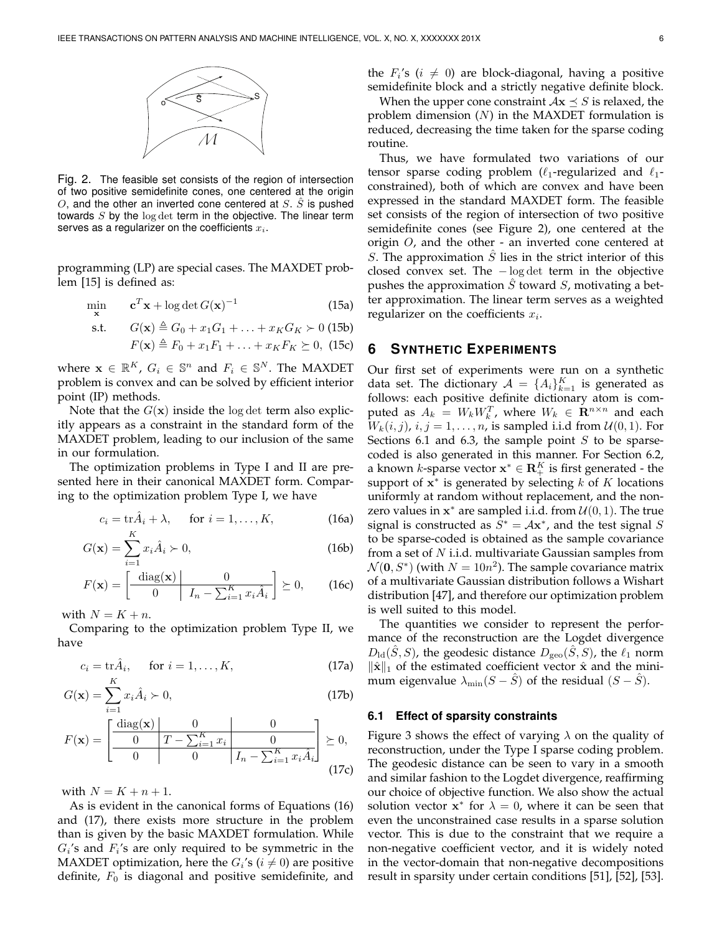

Fig. 2. The feasible set consists of the region of intersection of two positive semidefinite cones, one centered at the origin  $O$ , and the other an inverted cone centered at  $S$ .  $\tilde{S}$  is pushed towards  $S$  by the  $log \det$  term in the objective. The linear term serves as a regularizer on the coefficients  $x_i$ .

programming (LP) are special cases. The MAXDET problem [15] is defined as:

$$
\min_{\mathbf{x}} \qquad \mathbf{c}^T \mathbf{x} + \log \det G(\mathbf{x})^{-1} \tag{15a}
$$

$$
\text{s.t.} \qquad G(\mathbf{x}) \triangleq G_0 + x_1 G_1 + \ldots + x_K G_K \succ 0 \text{ (15b)}
$$

$$
F(\mathbf{x}) \triangleq F_0 + x_1 F_1 + \ldots + x_K F_K \succeq 0, \text{ (15c)}
$$

where  $\mathbf{x} \in \mathbb{R}^K$ ,  $G_i \in \mathbb{S}^n$  and  $F_i \in \mathbb{S}^N$ . The MAXDET problem is convex and can be solved by efficient interior point (IP) methods.

Note that the  $G(x)$  inside the log det term also explicitly appears as a constraint in the standard form of the MAXDET problem, leading to our inclusion of the same in our formulation.

The optimization problems in Type I and II are presented here in their canonical MAXDET form. Comparing to the optimization problem Type I, we have

$$
c_i = \operatorname{tr} \hat{A}_i + \lambda, \quad \text{for } i = 1, \dots, K,
$$
 (16a)

$$
G(\mathbf{x}) = \sum_{i=1}^{N} x_i \hat{A}_i \succ 0,
$$
\n(16b)

$$
F(\mathbf{x}) = \left[ \begin{array}{c|c} \text{diag}(\mathbf{x}) & 0\\ \hline 0 & I_n - \sum_{i=1}^K x_i \hat{A}_i \end{array} \right] \succeq 0, \qquad (16c)
$$

with  $N = K + n$ .

Comparing to the optimization problem Type II, we have

$$
c_i = \operatorname{tr} \hat{A}_i, \quad \text{for } i = 1, \dots, K,
$$
 (17a)

$$
G(\mathbf{x}) = \sum_{i=1}^{n} x_i \hat{A}_i \succ 0,
$$
\n(17b)

$$
F(\mathbf{x}) = \left[ \begin{array}{c|c} \text{diag}(\mathbf{x}) & 0 & 0\\ \hline 0 & T - \sum_{i=1}^{K} x_i & 0\\ \hline 0 & 0 & I_n - \sum_{i=1}^{K} x_i \hat{A}_i \end{array} \right] \succeq 0,
$$
\n(17c)

with  $N = K + n + 1$ .

As is evident in the canonical forms of Equations (16) and (17), there exists more structure in the problem than is given by the basic MAXDET formulation. While  $G_i$ 's and  $F_i$ 's are only required to be symmetric in the MAXDET optimization, here the  $G_i$ 's ( $i \neq 0$ ) are positive definite,  $F_0$  is diagonal and positive semidefinite, and the  $F_i$ 's ( $i \neq 0$ ) are block-diagonal, having a positive semidefinite block and a strictly negative definite block.

When the upper cone constraint  $Ax \leq S$  is relaxed, the problem dimension  $(N)$  in the MAXDET formulation is reduced, decreasing the time taken for the sparse coding routine.

Thus, we have formulated two variations of our tensor sparse coding problem ( $\ell_1$ -regularized and  $\ell_1$ constrained), both of which are convex and have been expressed in the standard MAXDET form. The feasible set consists of the region of intersection of two positive semidefinite cones (see Figure 2), one centered at the origin  $O$ , and the other - an inverted cone centered at S. The approximation  $S$  lies in the strict interior of this closed convex set. The − log det term in the objective pushes the approximation  $\hat{S}$  toward  $S$ , motivating a better approximation. The linear term serves as a weighted regularizer on the coefficients  $x_i$ .

# **6 SYNTHETIC EXPERIMENTS**

Our first set of experiments were run on a synthetic data set. The dictionary  $A = \{A_i\}_{k=1}^K$  is generated as follows: each positive definite dictionary atom is computed as  $A_k = W_k W_k^T$ , where  $W_k \in \mathbb{R}^{n \times n}$  and each  $W_k(i, j)$ ,  $i, j = 1, \ldots, n$ , is sampled i.i.d from  $U(0, 1)$ . For Sections 6.1 and 6.3, the sample point  $S$  to be sparsecoded is also generated in this manner. For Section 6.2, a known *k*-sparse vector  $\mathbf{x}^* \in \mathbf{R}_+^K$  is first generated - the support of  $x^*$  is generated by selecting k of K locations uniformly at random without replacement, and the nonzero values in  $x^*$  are sampled i.i.d. from  $\mathcal{U}(0, 1)$ . The true signal is constructed as  $S^* = A\mathbf{x}^*$ , and the test signal S to be sparse-coded is obtained as the sample covariance from a set of N i.i.d. multivariate Gaussian samples from  $\mathcal{N}(\mathbf{0}, S^*)$  (with  $N = 10n^2$ ). The sample covariance matrix of a multivariate Gaussian distribution follows a Wishart distribution [47], and therefore our optimization problem is well suited to this model.

The quantities we consider to represent the performance of the reconstruction are the Logdet divergence  $D_{\text{ld}}(\tilde{S}, S)$ , the geodesic distance  $D_{\text{geo}}(\tilde{S}, S)$ , the  $\ell_1$  norm  $\|\hat{\mathbf{x}}\|_1$  of the estimated coefficient vector  $\hat{\mathbf{x}}$  and the minimum eigenvalue  $\lambda_{\min}(S - \tilde{S})$  of the residual  $(S - \tilde{S})$ .

#### **6.1 Effect of sparsity constraints**

Figure 3 shows the effect of varying  $\lambda$  on the quality of reconstruction, under the Type I sparse coding problem. The geodesic distance can be seen to vary in a smooth and similar fashion to the Logdet divergence, reaffirming our choice of objective function. We also show the actual solution vector  $x^*$  for  $\lambda = 0$ , where it can be seen that even the unconstrained case results in a sparse solution vector. This is due to the constraint that we require a non-negative coefficient vector, and it is widely noted in the vector-domain that non-negative decompositions result in sparsity under certain conditions [51], [52], [53].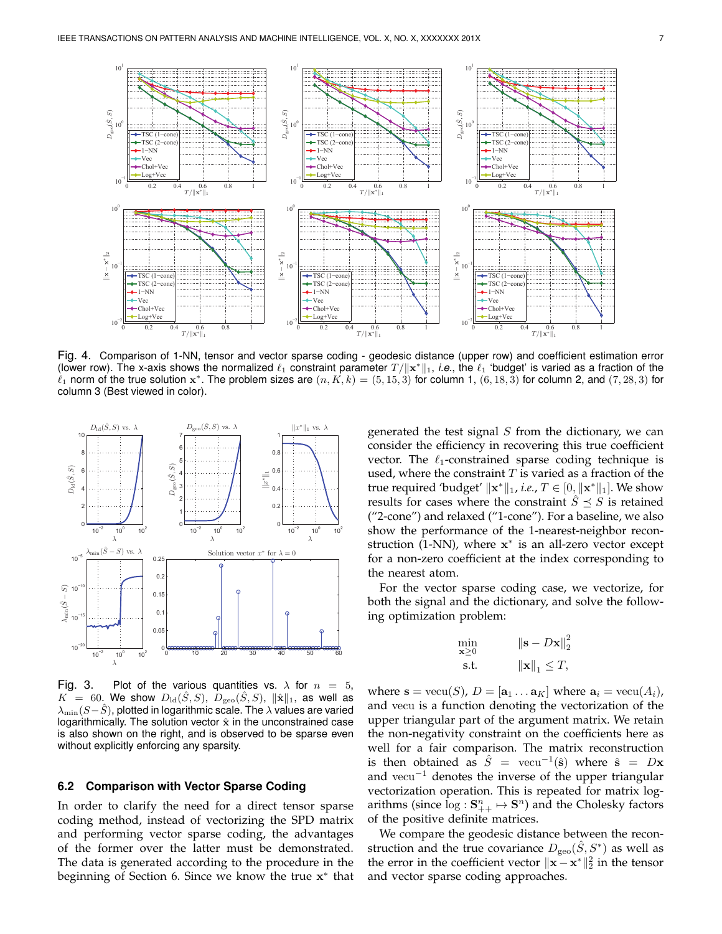

Fig. 4. Comparison of 1-NN, tensor and vector sparse coding - geodesic distance (upper row) and coefficient estimation error (lower row). The x-axis shows the normalized  $\ell_1$  constraint parameter  $T/\|\mathbf{x}^*\|_1$ , *i.e.*, the  $\ell_1$  'budget' is varied as a fraction of the  $\ell_1$  norm of the true solution  $x^*$ . The problem sizes are  $(n, K, k) = (5, 15, 3)$  for column 1,  $(6, 18, 3)$  for column 2, and  $(7, 28, 3)$  for column 3 (Best viewed in color).



Fig. 3. Plot of the various quantities vs.  $\lambda$  for  $n = 5$ ,  $K = 60$ . We show  $D_{\text{ld}}(\tilde{S}, S)$ ,  $D_{\text{geo}}(\tilde{S}, S)$ ,  $\|\hat{\mathbf{x}}\|_1$ , as well as  $\lambda_{\min}(S-\hat{S})$ , plotted in logarithmic scale. The  $\lambda$  values are varied logarithmically. The solution vector  $\hat{x}$  in the unconstrained case is also shown on the right, and is observed to be sparse even without explicitly enforcing any sparsity.

#### **6.2 Comparison with Vector Sparse Coding**

In order to clarify the need for a direct tensor sparse coding method, instead of vectorizing the SPD matrix and performing vector sparse coding, the advantages of the former over the latter must be demonstrated. The data is generated according to the procedure in the beginning of Section 6. Since we know the true x ∗ that

generated the test signal  $S$  from the dictionary, we can consider the efficiency in recovering this true coefficient vector. The  $\ell_1$ -constrained sparse coding technique is used, where the constraint  $T$  is varied as a fraction of the true required 'budget'  $\|\mathbf{x}^*\|_1$ , *i.e., T*  $\in$   $[0, \|\mathbf{x}^*\|_1]$ . We show results for cases where the constraint  $\hat{S} \preceq S$  is retained ("2-cone") and relaxed ("1-cone"). For a baseline, we also show the performance of the 1-nearest-neighbor reconstruction (1-NN), where x ∗ is an all-zero vector except for a non-zero coefficient at the index corresponding to the nearest atom.

For the vector sparse coding case, we vectorize, for both the signal and the dictionary, and solve the following optimization problem:

$$
\min_{\mathbf{x} \ge 0} \qquad \qquad \|\mathbf{s} - D\mathbf{x}\|_{2}^{2}
$$
\n
$$
\text{s.t.} \qquad \qquad \|\mathbf{x}\|_{1} \le T,
$$

where  $\mathbf{s} = \text{vecu}(S)$ ,  $D = [\mathbf{a}_1 \dots \mathbf{a}_K]$  where  $\mathbf{a}_i = \text{vecu}(A_i)$ , and vecu is a function denoting the vectorization of the upper triangular part of the argument matrix. We retain the non-negativity constraint on the coefficients here as well for a fair comparison. The matrix reconstruction is then obtained as  $\hat{S} = \text{vecu}^{-1}(\hat{\mathbf{s}})$  where  $\hat{\mathbf{s}} = D\mathbf{x}$ and vecu<sup>-1</sup> denotes the inverse of the upper triangular vectorization operation. This is repeated for matrix logarithms (since  $\log : \mathbf{S}_{++}^n \mapsto \mathbf{S}^n$ ) and the Cholesky factors of the positive definite matrices.

We compare the geodesic distance between the reconstruction and the true covariance  $D_{\text{geo}}(\hat{S}, S^*)$  as well as the error in the coefficient vector  $\|\mathbf{x} - \mathbf{x}^*\|_2^2$  in the tensor and vector sparse coding approaches.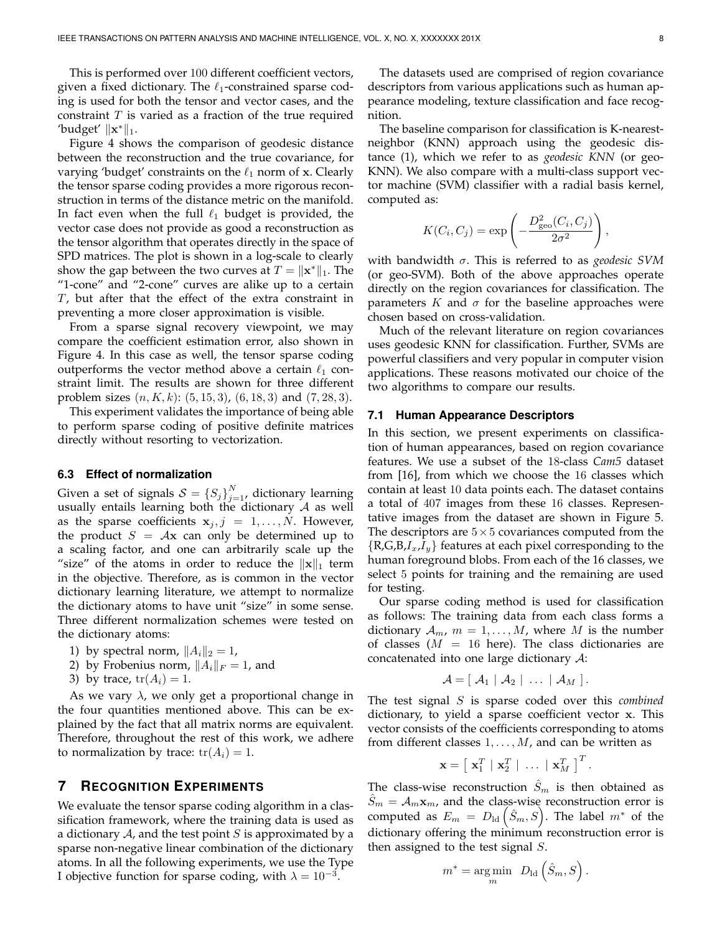This is performed over 100 different coefficient vectors, given a fixed dictionary. The  $\ell_1$ -constrained sparse coding is used for both the tensor and vector cases, and the constraint  $T$  is varied as a fraction of the true required 'budget'  $\|\mathbf{x}^*\|_1$ .

Figure 4 shows the comparison of geodesic distance between the reconstruction and the true covariance, for varying 'budget' constraints on the  $\ell_1$  norm of x. Clearly the tensor sparse coding provides a more rigorous reconstruction in terms of the distance metric on the manifold. In fact even when the full  $\ell_1$  budget is provided, the vector case does not provide as good a reconstruction as the tensor algorithm that operates directly in the space of SPD matrices. The plot is shown in a log-scale to clearly show the gap between the two curves at  $T = \|\mathbf{x}^*\|_1$ . The "1-cone" and "2-cone" curves are alike up to a certain T, but after that the effect of the extra constraint in preventing a more closer approximation is visible.

From a sparse signal recovery viewpoint, we may compare the coefficient estimation error, also shown in Figure 4. In this case as well, the tensor sparse coding outperforms the vector method above a certain  $\ell_1$  constraint limit. The results are shown for three different problem sizes  $(n, K, k)$ :  $(5, 15, 3)$ ,  $(6, 18, 3)$  and  $(7, 28, 3)$ .

This experiment validates the importance of being able to perform sparse coding of positive definite matrices directly without resorting to vectorization.

#### **6.3 Effect of normalization**

Given a set of signals  $S = \{S_j\}_{j=1}^N$  dictionary learning usually entails learning both the dictionary  $A$  as well as the sparse coefficients  $x_j$ ,  $j = 1, \ldots, N$ . However, the product  $S = Ax$  can only be determined up to a scaling factor, and one can arbitrarily scale up the "size" of the atoms in order to reduce the  $\|x\|_1$  term in the objective. Therefore, as is common in the vector dictionary learning literature, we attempt to normalize the dictionary atoms to have unit "size" in some sense. Three different normalization schemes were tested on the dictionary atoms:

- 1) by spectral norm,  $||A_i||_2 = 1$ ,
- 2) by Frobenius norm,  $||A_i||_F = 1$ , and
- 3) by trace,  $tr(A_i) = 1$ .

As we vary  $\lambda$ , we only get a proportional change in the four quantities mentioned above. This can be explained by the fact that all matrix norms are equivalent. Therefore, throughout the rest of this work, we adhere to normalization by trace:  $tr(A_i) = 1$ .

## **7 RECOGNITION EXPERIMENTS**

We evaluate the tensor sparse coding algorithm in a classification framework, where the training data is used as a dictionary  $A$ , and the test point  $S$  is approximated by a sparse non-negative linear combination of the dictionary atoms. In all the following experiments, we use the Type I objective function for sparse coding, with  $\lambda = 10^{-3}$ .

The datasets used are comprised of region covariance descriptors from various applications such as human appearance modeling, texture classification and face recognition.

The baseline comparison for classification is K-nearestneighbor (KNN) approach using the geodesic distance (1), which we refer to as *geodesic KNN* (or geo-KNN). We also compare with a multi-class support vector machine (SVM) classifier with a radial basis kernel, computed as:

$$
K(C_i, C_j) = \exp\left(-\frac{D_{\text{geo}}^2(C_i, C_j)}{2\sigma^2}\right),\,
$$

with bandwidth σ. This is referred to as *geodesic SVM* (or geo-SVM). Both of the above approaches operate directly on the region covariances for classification. The parameters K and  $\sigma$  for the baseline approaches were chosen based on cross-validation.

Much of the relevant literature on region covariances uses geodesic KNN for classification. Further, SVMs are powerful classifiers and very popular in computer vision applications. These reasons motivated our choice of the two algorithms to compare our results.

#### **7.1 Human Appearance Descriptors**

In this section, we present experiments on classification of human appearances, based on region covariance features. We use a subset of the 18-class *Cam5* dataset from [16], from which we choose the 16 classes which contain at least 10 data points each. The dataset contains a total of 407 images from these 16 classes. Representative images from the dataset are shown in Figure 5. The descriptors are  $5 \times 5$  covariances computed from the  $\{R,G,B,I_x,I_y\}$  features at each pixel corresponding to the human foreground blobs. From each of the 16 classes, we select 5 points for training and the remaining are used for testing.

Our sparse coding method is used for classification as follows: The training data from each class forms a dictionary  $A_m$ ,  $m = 1, \ldots, M$ , where M is the number of classes ( $M = 16$  here). The class dictionaries are concatenated into one large dictionary A:

$$
\mathcal{A} = [\mathcal{A}_1 \mid \mathcal{A}_2 \mid \ldots \mid \mathcal{A}_M].
$$

The test signal S is sparse coded over this *combined* dictionary, to yield a sparse coefficient vector x. This vector consists of the coefficients corresponding to atoms from different classes  $1, \ldots, M$ , and can be written as

$$
\mathbf{x} = \left[ \begin{array}{c|c|c|c} \mathbf{x}_1^T & \mathbf{x}_2^T & \dots & \mathbf{x}_M^T \end{array} \right]^T.
$$

The class-wise reconstruction  $\hat{S}_m$  is then obtained as  $\hat{S}_m = A_m \mathbf{x}_m$ , and the class-wise reconstruction error is computed as  $E_m = D_{\text{ld}}(\hat{S}_m, S)$ . The label  $m^*$  of the dictionary offering the minimum reconstruction error is then assigned to the test signal  $S$ .

$$
m^* = \underset{m}{\text{arg\,min}} \ D_{\text{ld}}\left(\hat{S}_m, S\right).
$$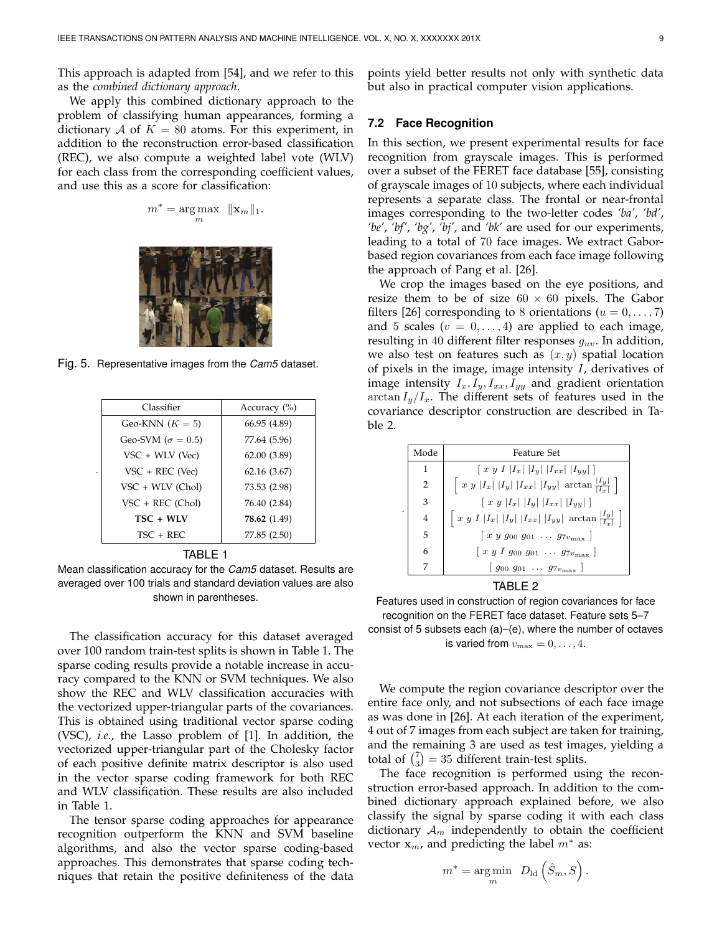This approach is adapted from [54], and we refer to this as the *combined dictionary approach*.

We apply this combined dictionary approach to the problem of classifying human appearances, forming a dictionary A of  $K = 80$  atoms. For this experiment, in addition to the reconstruction error-based classification (REC), we also compute a weighted label vote (WLV) for each class from the corresponding coefficient values, and use this as a score for classification:

$$
m^* = \underset{m}{\arg \max} \ \ \|\mathbf{x}_m\|_1.
$$



Fig. 5. Representative images from the *Cam5* dataset.

| Classifier                 | Accuracy $(\% )$ |  |  |  |  |
|----------------------------|------------------|--|--|--|--|
| Geo-KNN $(K = 5)$          | 66.95 (4.89)     |  |  |  |  |
| Geo-SVM ( $\sigma = 0.5$ ) | 77.64 (5.96)     |  |  |  |  |
| VSC + WLV (Vec)            | 62.00 (3.89)     |  |  |  |  |
| $VSC + REC$ (Vec)<br>٠     | 62.16(3.67)      |  |  |  |  |
| VSC + WLV (Chol)           | 73.53 (2.98)     |  |  |  |  |
| $VSC + REC (Chol)$         | 76.40 (2.84)     |  |  |  |  |
| TSC + WLV                  | 78.62 (1.49)     |  |  |  |  |
| $TSC + RFC$                | 77.85 (2.50)     |  |  |  |  |

#### TABLE 1

Mean classification accuracy for the *Cam5* dataset. Results are averaged over 100 trials and standard deviation values are also shown in parentheses.

The classification accuracy for this dataset averaged over 100 random train-test splits is shown in Table 1. The sparse coding results provide a notable increase in accuracy compared to the KNN or SVM techniques. We also show the REC and WLV classification accuracies with the vectorized upper-triangular parts of the covariances. This is obtained using traditional vector sparse coding (VSC), *i.e.*, the Lasso problem of [1]. In addition, the vectorized upper-triangular part of the Cholesky factor of each positive definite matrix descriptor is also used in the vector sparse coding framework for both REC and WLV classification. These results are also included in Table 1.

The tensor sparse coding approaches for appearance recognition outperform the KNN and SVM baseline algorithms, and also the vector sparse coding-based approaches. This demonstrates that sparse coding techniques that retain the positive definiteness of the data points yield better results not only with synthetic data but also in practical computer vision applications.

### **7.2 Face Recognition**

In this section, we present experimental results for face recognition from grayscale images. This is performed over a subset of the FERET face database [55], consisting of grayscale images of 10 subjects, where each individual represents a separate class. The frontal or near-frontal images corresponding to the two-letter codes *'ba'*, *'bd'*, *'be'*, *'bf'*, *'bg'*, *'bj'*, and *'bk'* are used for our experiments, leading to a total of 70 face images. We extract Gaborbased region covariances from each face image following the approach of Pang et al. [26].

We crop the images based on the eye positions, and resize them to be of size  $60 \times 60$  pixels. The Gabor filters [26] corresponding to 8 orientations ( $u = 0, \ldots, 7$ ) and 5 scales ( $v = 0, \ldots, 4$ ) are applied to each image, resulting in 40 different filter responses  $g_{uv}$ . In addition, we also test on features such as  $(x, y)$  spatial location of pixels in the image, image intensity  $I$ , derivatives of image intensity  $I_x, I_y, I_{xx}, I_{yy}$  and gradient orientation  $\arctan I_y/I_x$ . The different sets of features used in the covariance descriptor construction are described in Table 2.

| Mode           | <b>Feature Set</b>                                                               |
|----------------|----------------------------------------------------------------------------------|
| 1              | $\left[x y I  I_x   I_y   I_{xx}   I_{yy}  \right]$                              |
| $\overline{2}$ | $\left  x y  I_x  I_y  I_{xx}  I_{yy}   \arctan \frac{ I_y  }{ I_x  } \right $   |
| 3              | $[x y   I_x    I_y    I_{xx}    I_{yy} ]$                                        |
|                | $\left  x y I  I_x   I_y   I_{xx}   I_{yy}  \arctan \frac{ I_y }{ I_x } \right $ |
| 5              | $[x \ y \ g_{00} \ g_{01} \ \ldots \ g_{7v_{\text{max}}} ]$                      |
| 6              | $[x y I g_{00} g_{01} \dots g_{7v_{\text{max}}}]$                                |
| 7              | $ g_{00} g_{01} \dots g_{7v_{\text{max}}}  $                                     |

TABLE 2

Features used in construction of region covariances for face recognition on the FERET face dataset. Feature sets 5–7 consist of 5 subsets each (a)–(e), where the number of octaves

is varied from  $v_{\text{max}} = 0, \ldots, 4$ .

We compute the region covariance descriptor over the entire face only, and not subsections of each face image as was done in [26]. At each iteration of the experiment, 4 out of 7 images from each subject are taken for training, and the remaining 3 are used as test images, yielding a total of  $\binom{7}{3} = 35$  different train-test splits.

The face recognition is performed using the reconstruction error-based approach. In addition to the combined dictionary approach explained before, we also classify the signal by sparse coding it with each class dictionary  $A_m$  independently to obtain the coefficient vector  $\mathbf{x}_m$ , and predicting the label  $m^*$  as:

$$
m^* = \underset{m}{\text{arg}\min} \ \ D_{\text{ld}}\left(\hat{S}_m, S\right)
$$

.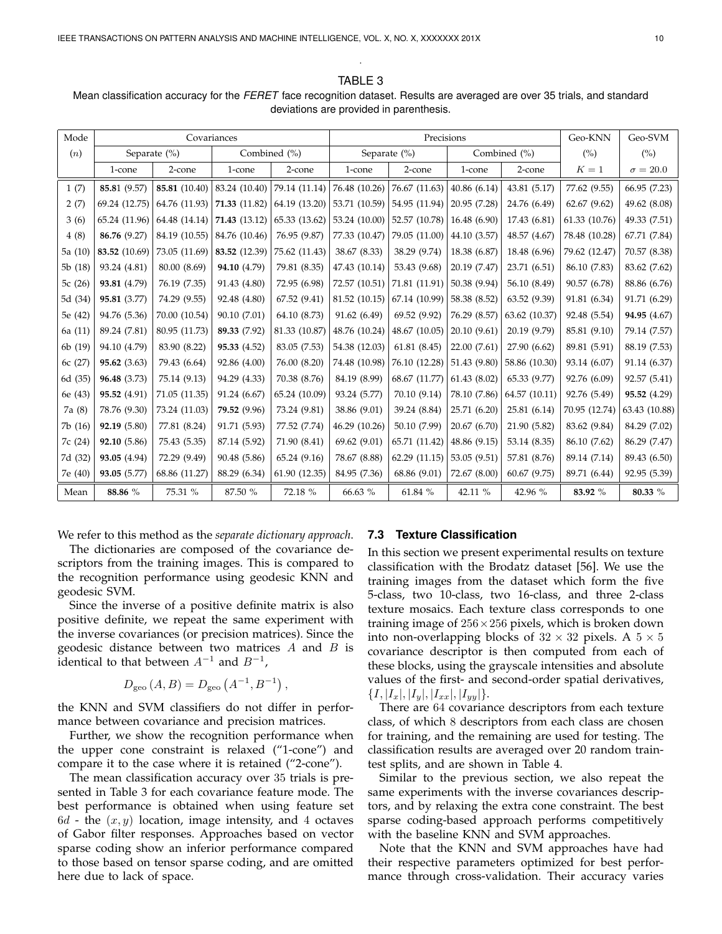TABLE 3 Mean classification accuracy for the *FERET* face recognition dataset. Results are averaged are over 35 trials, and standard deviations are provided in parenthesis.

.

| Mode    | Covariances      |               |                  |               | Precisions    |               |              |               | Geo-KNN        | Geo-SVM         |
|---------|------------------|---------------|------------------|---------------|---------------|---------------|--------------|---------------|----------------|-----------------|
| (n)     | Separate $(\% )$ |               | Combined $(\% )$ |               | Separate (%)  |               | Combined (%) |               | $\binom{0}{0}$ | (%)             |
|         | 1-cone           | 2-cone        | 1-cone           | 2-cone        | 1-cone        | 2-cone        | 1-cone       | 2-cone        | $K=1$          | $\sigma = 20.0$ |
| 1(7)    | 85.81 (9.57)     | 85.81 (10.40) | 83.24 (10.40)    | 79.14(11.14)  | 76.48 (10.26) | 76.67 (11.63) | 40.86 (6.14) | 43.81 (5.17)  | 77.62 (9.55)   | 66.95 (7.23)    |
| 2(7)    | 69.24 (12.75)    | 64.76 (11.93) | 71.33 (11.82)    | 64.19 (13.20) | 53.71 (10.59) | 54.95 (11.94) | 20.95 (7.28) | 24.76 (6.49)  | 62.67(9.62)    | 49.62 (8.08)    |
| 3(6)    | 65.24 (11.96)    | 64.48 (14.14) | 71.43 (13.12)    | 65.33 (13.62) | 53.24 (10.00) | 52.57 (10.78) | 16.48 (6.90) | 17.43 (6.81)  | 61.33 (10.76)  | 49.33 (7.51)    |
| 4(8)    | 86.76 (9.27)     | 84.19 (10.55) | 84.76 (10.46)    | 76.95 (9.87)  | 77.33 (10.47) | 79.05 (11.00) | 44.10 (3.57) | 48.57 (4.67)  | 78.48 (10.28)  | 67.71 (7.84)    |
| 5a (10) | 83.52 (10.69)    | 73.05 (11.69) | 83.52 (12.39)    | 75.62 (11.43) | 38.67 (8.33)  | 38.29 (9.74)  | 18.38 (6.87) | 18.48 (6.96)  | 79.62 (12.47)  | 70.57 (8.38)    |
| 5b(18)  | 93.24 (4.81)     | 80.00 (8.69)  | 94.10 (4.79)     | 79.81 (8.35)  | 47.43 (10.14) | 53.43 (9.68)  | 20.19 (7.47) | 23.71 (6.51)  | 86.10 (7.83)   | 83.62 (7.62)    |
| 5c (26) | 93.81 (4.79)     | 76.19 (7.35)  | 91.43 (4.80)     | 72.95 (6.98)  | 72.57 (10.51) | 71.81 (11.91) | 50.38 (9.94) | 56.10 (8.49)  | 90.57 (6.78)   | 88.86 (6.76)    |
| 5d (34) | 95.81 (3.77)     | 74.29 (9.55)  | 92.48 (4.80)     | 67.52(9.41)   | 81.52 (10.15) | 67.14 (10.99) | 58.38 (8.52) | 63.52 (9.39)  | 91.81 (6.34)   | 91.71 (6.29)    |
| 5e (42) | 94.76 (5.36)     | 70.00 (10.54) | 90.10 (7.01)     | 64.10 (8.73)  | 91.62 (6.49)  | 69.52 (9.92)  | 76.29 (8.57) | 63.62 (10.37) | 92.48 (5.54)   | 94.95 (4.67)    |
| 6a (11) | 89.24 (7.81)     | 80.95 (11.73) | 89.33 (7.92)     | 81.33 (10.87) | 48.76 (10.24) | 48.67 (10.05) | 20.10(9.61)  | 20.19 (9.79)  | 85.81 (9.10)   | 79.14 (7.57)    |
| 6b (19) | 94.10 (4.79)     | 83.90 (8.22)  | 95.33 (4.52)     | 83.05 (7.53)  | 54.38 (12.03) | 61.81(8.45)   | 22.00(7.61)  | 27.90 (6.62)  | 89.81 (5.91)   | 88.19 (7.53)    |
| 6c (27) | 95.62(3.63)      | 79.43 (6.64)  | 92.86 (4.00)     | 76.00 (8.20)  | 74.48 (10.98) | 76.10 (12.28) | 51.43 (9.80) | 58.86 (10.30) | 93.14 (6.07)   | 91.14 (6.37)    |
| 6d(35)  | 96.48 (3.73)     | 75.14 (9.13)  | 94.29 (4.33)     | 70.38 (8.76)  | 84.19 (8.99)  | 68.67 (11.77) | 61.43(8.02)  | 65.33 (9.77)  | 92.76 (6.09)   | 92.57 (5.41)    |
| 6e (43) | 95.52(4.91)      | 71.05 (11.35) | 91.24 (6.67)     | 65.24 (10.09) | 93.24 (5.77)  | 70.10 (9.14)  | 78.10 (7.86) | 64.57 (10.11) | 92.76 (5.49)   | 95.52 (4.29)    |
| 7a (8)  | 78.76 (9.30)     | 73.24 (11.03) | 79.52 (9.96)     | 73.24 (9.81)  | 38.86 (9.01)  | 39.24 (8.84)  | 25.71 (6.20) | 25.81(6.14)   | 70.95 (12.74)  | 63.43 (10.88)   |
| 7b(16)  | 92.19 (5.80)     | 77.81 (8.24)  | 91.71 (5.93)     | 77.52 (7.74)  | 46.29 (10.26) | 50.10 (7.99)  | 20.67 (6.70) | 21.90 (5.82)  | 83.62 (9.84)   | 84.29 (7.02)    |
| 7c (24) | 92.10 (5.86)     | 75.43 (5.35)  | 87.14 (5.92)     | 71.90 (8.41)  | 69.62 (9.01)  | 65.71 (11.42) | 48.86 (9.15) | 53.14 (8.35)  | 86.10 (7.62)   | 86.29 (7.47)    |
| 7d (32) | 93.05 (4.94)     | 72.29 (9.49)  | 90.48 (5.86)     | 65.24 (9.16)  | 78.67 (8.88)  | 62.29 (11.15) | 53.05 (9.51) | 57.81 (8.76)  | 89.14 (7.14)   | 89.43 (6.50)    |
| 7e (40) | 93.05 (5.77)     | 68.86 (11.27) | 88.29 (6.34)     | 61.90 (12.35) | 84.95 (7.36)  | 68.86 (9.01)  | 72.67 (8.00) | 60.67 (9.75)  | 89.71 (6.44)   | 92.95 (5.39)    |
| Mean    | 88.86 %          | 75.31 %       | 87.50 %          | 72.18 %       | $66.63~\%$    | 61.84 %       | 42.11 %      | 42.96 %       | 83.92 %        | 80.33 %         |

We refer to this method as the *separate dictionary approach*.

The dictionaries are composed of the covariance descriptors from the training images. This is compared to the recognition performance using geodesic KNN and geodesic SVM.

Since the inverse of a positive definite matrix is also positive definite, we repeat the same experiment with the inverse covariances (or precision matrices). Since the geodesic distance between two matrices  $A$  and  $B$  is identical to that between  $A^{-1}$  and  $B^{-1}$ ,

$$
D_{\rm geo}(A, B) = D_{\rm geo}(A^{-1}, B^{-1}),
$$

the KNN and SVM classifiers do not differ in performance between covariance and precision matrices.

Further, we show the recognition performance when the upper cone constraint is relaxed ("1-cone") and compare it to the case where it is retained ("2-cone").

The mean classification accuracy over 35 trials is presented in Table 3 for each covariance feature mode. The best performance is obtained when using feature set  $6d$  - the  $(x, y)$  location, image intensity, and 4 octaves of Gabor filter responses. Approaches based on vector sparse coding show an inferior performance compared to those based on tensor sparse coding, and are omitted here due to lack of space.

#### **7.3 Texture Classification**

In this section we present experimental results on texture classification with the Brodatz dataset [56]. We use the training images from the dataset which form the five 5-class, two 10-class, two 16-class, and three 2-class texture mosaics. Each texture class corresponds to one training image of  $256 \times 256$  pixels, which is broken down into non-overlapping blocks of  $32 \times 32$  pixels. A  $5 \times 5$ covariance descriptor is then computed from each of these blocks, using the grayscale intensities and absolute values of the first- and second-order spatial derivatives,  $\{I, |I_x|, |I_y|, |I_{xx}|, |I_{yy}|\}.$ 

There are 64 covariance descriptors from each texture class, of which 8 descriptors from each class are chosen for training, and the remaining are used for testing. The classification results are averaged over 20 random traintest splits, and are shown in Table 4.

Similar to the previous section, we also repeat the same experiments with the inverse covariances descriptors, and by relaxing the extra cone constraint. The best sparse coding-based approach performs competitively with the baseline KNN and SVM approaches.

Note that the KNN and SVM approaches have had their respective parameters optimized for best performance through cross-validation. Their accuracy varies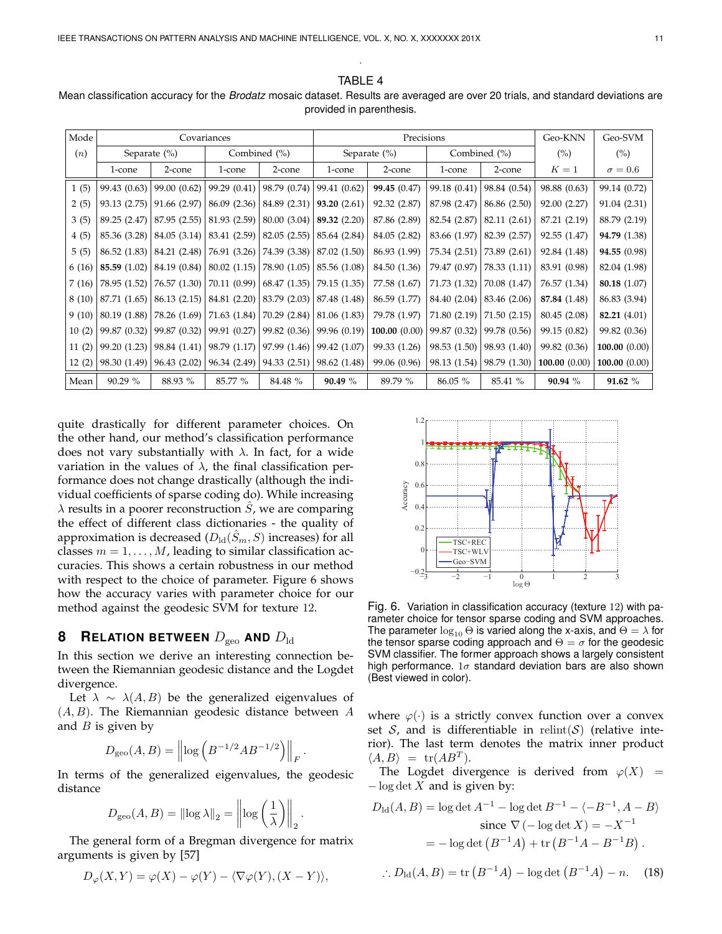TABLE 4 Mean classification accuracy for the *Brodatz* mosaic dataset. Results are averaged are over 20 trials, and standard deviations are provided in parenthesis.

.

| Mode  | Covariances      |              |              |              | Precisions       |              |              |              | Geo-KNN      | Geo-SVM         |
|-------|------------------|--------------|--------------|--------------|------------------|--------------|--------------|--------------|--------------|-----------------|
| (n)   | Separate $(\% )$ |              | Combined (%) |              | Separate $(\% )$ |              | Combined (%) |              | (%)          | $(\%)$          |
|       | 1-cone           | 2-cone       | 1-cone       | 2-cone       | 1-cone           | 2-cone       | 1-cone       | 2-cone       | $K=1$        | $\sigma = 0.6$  |
| 1(5)  | 99.43 (0.63)     | 99.00 (0.62) | 99.29(0.41)  | 98.79 (0.74) | 99.41 (0.62)     | 99.45 (0.47) | 99.18 (0.41) | 98.84 (0.54) | 98.88 (0.63) | 99.14 (0.72)    |
| 2(5)  | 93.13 (2.75)     | 91.66 (2.97) | 86.09(2.36)  | 84.89(2.31)  | 93.20(2.61)      | 92.32 (2.87) | 87.98 (2.47) | 86.86 (2.50) | 92.00 (2.27) | 91.04 (2.31)    |
| 3(5)  | 89.25 (2.47)     | 87.95 (2.55) | 81.93 (2.59) | 80.00 (3.04) | 89.32 (2.20)     | 87.86 (2.89) | 82.54 (2.87) | 82.11 (2.61) | 87.21 (2.19) | 88.79 (2.19)    |
| 4(5)  | 85.36 (3.28)     | 84.05 (3.14) | 83.41(2.59)  | 82.05 (2.55) | 85.64 (2.84)     | 84.05 (2.82) | 83.66 (1.97) | 82.39 (2.57) | 92.55 (1.47) | 94.79 (1.38)    |
| 5(5)  | 86.52 (1.83)     | 84.21 (2.48) | 76.91 (3.26) | 74.39 (3.38) | 87.02 (1.50)     | 86.93 (1.99) | 75.34 (2.51) | 73.89 (2.61) | 92.84 (1.48) | 94.55 (0.98)    |
| 6(16) | 85.59 (1.02)     | 84.19 (0.84) | 80.02(1.15)  | 78.90 (1.05) | 85.56 (1.08)     | 84.50 (1.36) | 79.47 (0.97) | 78.33 (1.11) | 83.91 (0.98) | 82.04 (1.98)    |
| 7(16) | 78.95 (1.52)     | 76.57 (1.30) | 70.11(0.99)  | 68.47 (1.35) | 79.15 (1.35)     | 77.58 (1.67) | 71.73 (1.32) | 70.08 (1.47) | 76.57 (1.34) | 80.18 (1.07)    |
| 8(10) | 87.71 (1.65)     | 86.13 (2.15) | 84.81(2.20)  | 83.79 (2.03) | 87.48 (1.48)     | 86.59 (1.77) | 84.40 (2.04) | 83.46 (2.06) | 87.84 (1.48) | 86.83 (3.94)    |
| 9(10) | 80.19 (1.88)     | 78.26 (1.69) | 71.63(1.84)  | 70.29(2.84)  | 81.06 (1.83)     | 79.78 (1.97) | 71.80(2.19)  | 71.50(2.15)  | 80.45 (2.08) | 82.21 (4.01)    |
| 10(2) | 99.87 (0.32)     | 99.87 (0.32) | 99.91 (0.27) | 99.82 (0.36) | 99.96 (0.19)     | 100.00(0.00) | 99.87 (0.32) | 99.78 (0.56) | 99.15 (0.82) | 99.82 (0.36)    |
| 11(2) | 99.20 (1.23)     | 98.84 (1.41) | 98.79(1.17)  | 97.99 (1.46) | 99.42 (1.07)     | 99.33 (1.26) | 98.53 (1.50) | 98.93 (1.40) | 99.82 (0.36) | 100.00 $(0.00)$ |
| 12(2) | 98.30 (1.49)     | 96.43 (2.02) | 96.34(2.49)  | 94.33(2.51)  | 98.62 (1.48)     | 99.06 (0.96) | 98.13 (1.54) | 98.79 (1.30) | 100.00(0.00) | 100.00(0.00)    |
| Mean  | 90.29 %          | 88.93 %      | 85.77 %      | 84.48 %      | 90.49 %          | 89.79 %      | 86.05 %      | 85.41 %      | 90.94 %      | 91.62 $%$       |

quite drastically for different parameter choices. On the other hand, our method's classification performance does not vary substantially with  $\lambda$ . In fact, for a wide variation in the values of  $\lambda$ , the final classification performance does not change drastically (although the individual coefficients of sparse coding do). While increasing  $\lambda$  results in a poorer reconstruction  $\ddot{S}$ , we are comparing the effect of different class dictionaries - the quality of approximation is decreased  $(D_{\text{ld}}(\tilde{S}_m, S))$  increases) for all classes  $m = 1, \ldots, M$ , leading to similar classification accuracies. This shows a certain robustness in our method with respect to the choice of parameter. Figure 6 shows how the accuracy varies with parameter choice for our method against the geodesic SVM for texture 12.

## **8 RELATION BETWEEN**  $D_{\text{geo}}$  and  $D_{\text{ld}}$

In this section we derive an interesting connection between the Riemannian geodesic distance and the Logdet divergence.

Let  $\lambda \sim \lambda(A, B)$  be the generalized eigenvalues of  $(A, B)$ . The Riemannian geodesic distance between A and  $B$  is given by

$$
D_{\rm geo}(A, B) = \left\| \log \left( B^{-1/2} A B^{-1/2} \right) \right\|_F.
$$

In terms of the generalized eigenvalues, the geodesic distance

$$
D_{\rm geo}(A, B) = ||\log \lambda||_2 = ||\log \left(\frac{1}{\lambda}\right)||_2.
$$

The general form of a Bregman divergence for matrix arguments is given by [57]

$$
D_{\varphi}(X,Y) = \varphi(X) - \varphi(Y) - \langle \nabla \varphi(Y), (X - Y) \rangle,
$$



Fig. 6. Variation in classification accuracy (texture 12) with parameter choice for tensor sparse coding and SVM approaches. The parameter  $\log_{10} \Theta$  is varied along the x-axis, and  $\Theta = \lambda$  for the tensor sparse coding approach and  $\Theta = \sigma$  for the geodesic SVM classifier. The former approach shows a largely consistent high performance.  $1\sigma$  standard deviation bars are also shown (Best viewed in color).

where  $\varphi(\cdot)$  is a strictly convex function over a convex set  $S$ , and is differentiable in relint(S) (relative interior). The last term denotes the matrix inner product  $\langle A, B \rangle = \text{tr}(AB^T).$ 

The Logdet divergence is derived from  $\varphi(X)$  =  $-\log \det X$  and is given by:

$$
D_{\rm ld}(A, B) = \log \det A^{-1} - \log \det B^{-1} - \langle -B^{-1}, A - B \rangle
$$
  
since  $\nabla (-\log \det X) = -X^{-1}$   
 $= -\log \det (B^{-1}A) + \text{tr} (B^{-1}A - B^{-1}B).$ 

$$
\therefore D_{\rm ld}(A, B) = \text{tr}\left(B^{-1}A\right) - \log \det\left(B^{-1}A\right) - n. \tag{18}
$$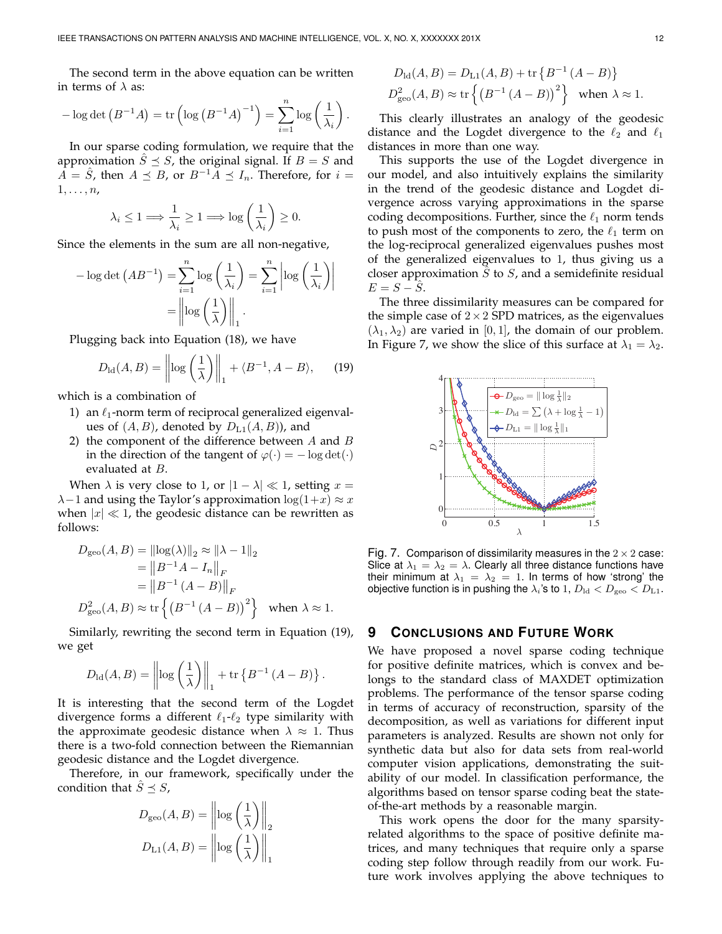The second term in the above equation can be written in terms of  $\lambda$  as:

$$
-\log \det (B^{-1}A) = \text{tr}\left(\log (B^{-1}A)^{-1}\right) = \sum_{i=1}^{n} \log \left(\frac{1}{\lambda_i}\right).
$$

In our sparse coding formulation, we require that the approximation  $\hat{S} \preceq S$ , the original signal. If  $B = S$  and  $A = \hat{S}$ , then  $A \preceq B$ , or  $B^{-1}A \preceq I_n$ . Therefore, for  $i =$  $1, \ldots, n$ 

$$
\lambda_i \leq 1 \Longrightarrow \frac{1}{\lambda_i} \geq 1 \Longrightarrow \log\left(\frac{1}{\lambda_i}\right) \geq 0.
$$

Since the elements in the sum are all non-negative,

$$
-\log \det (AB^{-1}) = \sum_{i=1}^{n} \log \left(\frac{1}{\lambda_i}\right) = \sum_{i=1}^{n} \left| \log \left(\frac{1}{\lambda_i}\right) \right|
$$

$$
= \left\| \log \left(\frac{1}{\lambda}\right) \right\|_1.
$$

Plugging back into Equation (18), we have

$$
D_{\rm ld}(A, B) = \left\| \log \left( \frac{1}{\lambda} \right) \right\|_1 + \langle B^{-1}, A - B \rangle, \qquad (19)
$$

which is a combination of

- 1) an  $\ell_1$ -norm term of reciprocal generalized eigenvalues of  $(A, B)$ , denoted by  $D_{L1}(A, B)$ , and
- 2) the component of the difference between  $A$  and  $B$ in the direction of the tangent of  $\varphi(\cdot) = -\log \det(\cdot)$ evaluated at B.

When  $\lambda$  is very close to 1, or  $|1 - \lambda| \ll 1$ , setting  $x =$  $\lambda-1$  and using the Taylor's approximation  $\log(1+x) \approx x$ when  $|x| \ll 1$ , the geodesic distance can be rewritten as follows:

$$
D_{\text{geo}}(A, B) = ||\log(\lambda)||_2 \approx ||\lambda - 1||_2
$$
  
=  $||B^{-1}A - I_n||_F$   
=  $||B^{-1}(A - B)||_F$   
 $D_{\text{geo}}^2(A, B) \approx \text{tr}\left\{ (B^{-1}(A - B))^2 \right\}$  when  $\lambda \approx 1$ .

Similarly, rewriting the second term in Equation (19), we get

$$
D_{\rm ld}(A, B) = \left\| \log \left( \frac{1}{\lambda} \right) \right\|_1 + \text{tr} \left\{ B^{-1} \left( A - B \right) \right\}.
$$

It is interesting that the second term of the Logdet divergence forms a different  $\ell_1-\ell_2$  type similarity with the approximate geodesic distance when  $\lambda \approx 1$ . Thus there is a two-fold connection between the Riemannian geodesic distance and the Logdet divergence.

Therefore, in our framework, specifically under the condition that  $\hat{S} \preceq S$ ,

$$
D_{\text{geo}}(A, B) = \left\| \log \left( \frac{1}{\lambda} \right) \right\|_2
$$

$$
D_{\text{L1}}(A, B) = \left\| \log \left( \frac{1}{\lambda} \right) \right\|_1
$$

$$
D_{\text{ld}}(A, B) = D_{\text{L1}}(A, B) + \text{tr}\left\{B^{-1}(A - B)\right\}
$$
  

$$
D_{\text{geo}}^2(A, B) \approx \text{tr}\left\{(B^{-1}(A - B))^2\right\} \text{ when } \lambda \approx 1.
$$

This clearly illustrates an analogy of the geodesic distance and the Logdet divergence to the  $\ell_2$  and  $\ell_1$ distances in more than one way.

This supports the use of the Logdet divergence in our model, and also intuitively explains the similarity in the trend of the geodesic distance and Logdet divergence across varying approximations in the sparse coding decompositions. Further, since the  $\ell_1$  norm tends to push most of the components to zero, the  $\ell_1$  term on the log-reciprocal generalized eigenvalues pushes most of the generalized eigenvalues to 1, thus giving us a closer approximation  $S$  to  $S$ , and a semidefinite residual  $E = S - \hat{S}$ .

The three dissimilarity measures can be compared for the simple case of  $2 \times 2$  SPD matrices, as the eigenvalues  $(\lambda_1, \lambda_2)$  are varied in [0, 1], the domain of our problem. In Figure 7, we show the slice of this surface at  $\lambda_1 = \lambda_2$ .



Fig. 7. Comparison of dissimilarity measures in the  $2 \times 2$  case: Slice at  $\lambda_1 = \lambda_2 = \lambda$ . Clearly all three distance functions have their minimum at  $\lambda_1 = \lambda_2 = 1$ . In terms of how 'strong' the objective function is in pushing the  $\lambda_i$ 's to 1,  $D_{\text{ld}} < D_{\text{geo}} < D_{\text{L1}}$ .

## **9 CONCLUSIONS AND FUTURE WORK**

We have proposed a novel sparse coding technique for positive definite matrices, which is convex and belongs to the standard class of MAXDET optimization problems. The performance of the tensor sparse coding in terms of accuracy of reconstruction, sparsity of the decomposition, as well as variations for different input parameters is analyzed. Results are shown not only for synthetic data but also for data sets from real-world computer vision applications, demonstrating the suitability of our model. In classification performance, the algorithms based on tensor sparse coding beat the stateof-the-art methods by a reasonable margin.

This work opens the door for the many sparsityrelated algorithms to the space of positive definite matrices, and many techniques that require only a sparse coding step follow through readily from our work. Future work involves applying the above techniques to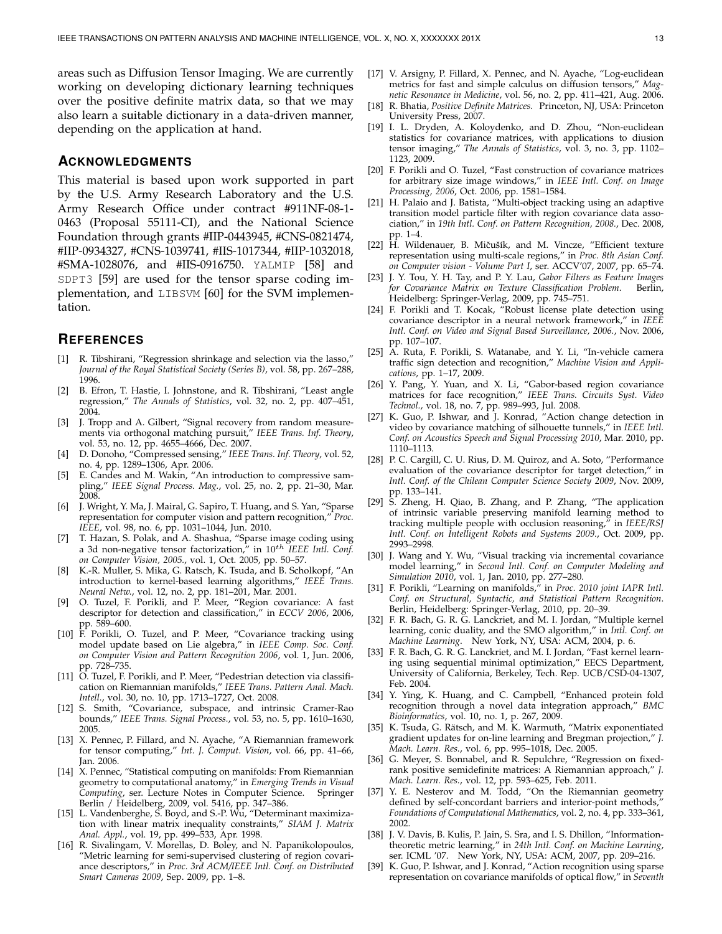areas such as Diffusion Tensor Imaging. We are currently working on developing dictionary learning techniques over the positive definite matrix data, so that we may also learn a suitable dictionary in a data-driven manner, depending on the application at hand.

# **ACKNOWLEDGMENTS**

This material is based upon work supported in part by the U.S. Army Research Laboratory and the U.S. Army Research Office under contract #911NF-08-1- 0463 (Proposal 55111-CI), and the National Science Foundation through grants #IIP-0443945, #CNS-0821474, #IIP-0934327, #CNS-1039741, #IIS-1017344, #IIP-1032018, #SMA-1028076, and #IIS-0916750. YALMIP [58] and SDPT3 [59] are used for the tensor sparse coding implementation, and LIBSVM [60] for the SVM implementation.

# **REFERENCES**

- [1] R. Tibshirani, "Regression shrinkage and selection via the lasso," *Journal of the Royal Statistical Society (Series B)*, vol. 58, pp. 267–288, 1996.
- [2] B. Efron, T. Hastie, I. Johnstone, and R. Tibshirani, "Least angle regression," *The Annals of Statistics*, vol. 32, no. 2, pp. 407–451, 2004.
- [3] J. Tropp and A. Gilbert, "Signal recovery from random measurements via orthogonal matching pursuit," *IEEE Trans. Inf. Theory*, vol. 53, no. 12, pp. 4655–4666, Dec. 2007.
- [4] D. Donoho, "Compressed sensing," *IEEE Trans. Inf. Theory*, vol. 52, no. 4, pp. 1289–1306, Apr. 2006.
- [5] E. Candes and M. Wakin, "An introduction to compressive sampling," *IEEE Signal Process. Mag.*, vol. 25, no. 2, pp. 21–30, Mar. 2008.
- [6] J. Wright, Y. Ma, J. Mairal, G. Sapiro, T. Huang, and S. Yan, "Sparse representation for computer vision and pattern recognition," *Proc. IEEE*, vol. 98, no. 6, pp. 1031–1044, Jun. 2010.
- [7] T. Hazan, S. Polak, and A. Shashua, "Sparse image coding using a 3d non-negative tensor factorization," in 10th *IEEE Intl. Conf. on Computer Vision, 2005.*, vol. 1, Oct. 2005, pp. 50–57.
- [8] K.-R. Muller, S. Mika, G. Ratsch, K. Tsuda, and B. Scholkopf, "An introduction to kernel-based learning algorithms," *IEEE Trans. Neural Netw.*, vol. 12, no. 2, pp. 181–201, Mar. 2001.
- [9] O. Tuzel, F. Porikli, and P. Meer, "Region covariance: A fast descriptor for detection and classification," in *ECCV 2006*, 2006, pp. 589–600.
- [10] F. Porikli, O. Tuzel, and P. Meer, "Covariance tracking using model update based on Lie algebra," in *IEEE Comp. Soc. Conf. on Computer Vision and Pattern Recognition 2006*, vol. 1, Jun. 2006, pp. 728–735.
- [11]  $\overline{O}$ . Tuzel, F. Porikli, and P. Meer, "Pedestrian detection via classification on Riemannian manifolds," *IEEE Trans. Pattern Anal. Mach. Intell.*, vol. 30, no. 10, pp. 1713–1727, Oct. 2008.
- [12] S. Smith, "Covariance, subspace, and intrinsic Cramer-Rao bounds," *IEEE Trans. Signal Process.*, vol. 53, no. 5, pp. 1610–1630, 2005.
- [13] X. Pennec, P. Fillard, and N. Ayache, "A Riemannian framework for tensor computing," *Int. J. Comput. Vision*, vol. 66, pp. 41–66, Jan. 2006.
- [14] X. Pennec, "Statistical computing on manifolds: From Riemannian geometry to computational anatomy," in *Emerging Trends in Visual Computing*, ser. Lecture Notes in Computer Science. Springer Berlin / Heidelberg, 2009, vol. 5416, pp. 347–386.
- [15] L. Vandenberghe, S. Boyd, and S.-P. Wu, "Determinant maximization with linear matrix inequality constraints," *SIAM J. Matrix Anal. Appl.*, vol. 19, pp. 499–533, Apr. 1998.
- [16] R. Sivalingam, V. Morellas, D. Boley, and N. Papanikolopoulos, "Metric learning for semi-supervised clustering of region covariance descriptors," in *Proc. 3rd ACM/IEEE Intl. Conf. on Distributed Smart Cameras 2009*, Sep. 2009, pp. 1–8.
- [17] V. Arsigny, P. Fillard, X. Pennec, and N. Ayache, "Log-euclidean metrics for fast and simple calculus on diffusion tensors," *Magnetic Resonance in Medicine*, vol. 56, no. 2, pp. 411–421, Aug. 2006.
- [18] R. Bhatia, *Positive Definite Matrices*. Princeton, NJ, USA: Princeton University Press, 2007.
- [19] I. L. Dryden, A. Koloydenko, and D. Zhou, "Non-euclidean statistics for covariance matrices, with applications to diusion tensor imaging," *The Annals of Statistics*, vol. 3, no. 3, pp. 1102– 1123, 2009.
- [20] F. Porikli and O. Tuzel, "Fast construction of covariance matrices for arbitrary size image windows," in *IEEE Intl. Conf. on Image Processing, 2006*, Oct. 2006, pp. 1581–1584.
- [21] H. Palaio and J. Batista, "Multi-object tracking using an adaptive transition model particle filter with region covariance data association," in *19th Intl. Conf. on Pattern Recognition, 2008.*, Dec. 2008, pp. 1–4.
- [22] H. Wildenauer, B. Mičušík, and M. Vincze, "Efficient texture representation using multi-scale regions," in *Proc. 8th Asian Conf. on Computer vision - Volume Part I*, ser. ACCV'07, 2007, pp. 65–74.
- [23] J. Y. Tou, Y. H. Tay, and P. Y. Lau, *Gabor Filters as Feature Images for Covariance Matrix on Texture Classification Problem*. Berlin, Heidelberg: Springer-Verlag, 2009, pp. 745–751.
- [24] F. Porikli and T. Kocak, "Robust license plate detection using covariance descriptor in a neural network framework," in *IEEE Intl. Conf. on Video and Signal Based Surveillance, 2006.*, Nov. 2006, pp. 107–107.
- [25] A. Ruta, F. Porikli, S. Watanabe, and Y. Li, "In-vehicle camera traffic sign detection and recognition," *Machine Vision and Applications*, pp. 1–17, 2009.
- [26] Y. Pang, Y. Yuan, and X. Li, "Gabor-based region covariance matrices for face recognition," *IEEE Trans. Circuits Syst. Video Technol.*, vol. 18, no. 7, pp. 989–993, Jul. 2008.
- [27] K. Guo, P. Ishwar, and J. Konrad, "Action change detection in video by covariance matching of silhouette tunnels," in *IEEE Intl. Conf. on Acoustics Speech and Signal Processing 2010*, Mar. 2010, pp. 1110–1113.
- [28] P. C. Cargill, C. U. Rius, D. M. Quiroz, and A. Soto, "Performance evaluation of the covariance descriptor for target detection," in *Intl. Conf. of the Chilean Computer Science Society 2009*, Nov. 2009, pp. 133–141.
- [29] S. Zheng, H. Qiao, B. Zhang, and P. Zhang, "The application of intrinsic variable preserving manifold learning method to tracking multiple people with occlusion reasoning," in *IEEE/RSJ Intl. Conf. on Intelligent Robots and Systems 2009.*, Oct. 2009, pp. 2993–2998.
- [30] J. Wang and Y. Wu, "Visual tracking via incremental covariance model learning," in *Second Intl. Conf. on Computer Modeling and Simulation 2010*, vol. 1, Jan. 2010, pp. 277–280.
- [31] F. Porikli, "Learning on manifolds," in *Proc. 2010 joint IAPR Intl. Conf. on Structural, Syntactic, and Statistical Pattern Recognition*. Berlin, Heidelberg: Springer-Verlag, 2010, pp. 20–39.
- [32] F. R. Bach, G. R. G. Lanckriet, and M. I. Jordan, "Multiple kernel learning, conic duality, and the SMO algorithm," in *Intl. Conf. on Machine Learning*. New York, NY, USA: ACM, 2004, p. 6.
- [33] F. R. Bach, G. R. G. Lanckriet, and M. I. Jordan, "Fast kernel learning using sequential minimal optimization," EECS Department, University of California, Berkeley, Tech. Rep. UCB/CSD-04-1307, Feb. 2004.
- [34] Y. Ying, K. Huang, and C. Campbell, "Enhanced protein fold recognition through a novel data integration approach," *BMC Bioinformatics*, vol. 10, no. 1, p. 267, 2009.
- [35] K. Tsuda, G. Rätsch, and M. K. Warmuth, "Matrix exponentiated gradient updates for on-line learning and Bregman projection," *J. Mach. Learn. Res.*, vol. 6, pp. 995–1018, Dec. 2005.
- [36] G. Meyer, S. Bonnabel, and R. Sepulchre, "Regression on fixedrank positive semidefinite matrices: A Riemannian approach," *J. Mach. Learn. Res.*, vol. 12, pp. 593–625, Feb. 2011.
- [37] Y. E. Nesterov and M. Todd, "On the Riemannian geometry defined by self-concordant barriers and interior-point methods, *Foundations of Computational Mathematics*, vol. 2, no. 4, pp. 333–361, 2002.
- [38] J. V. Davis, B. Kulis, P. Jain, S. Sra, and I. S. Dhillon, "Informationtheoretic metric learning," in *24th Intl. Conf. on Machine Learning*, ser. ICML '07. New York, NY, USA: ACM, 2007, pp. 209–216.
- [39] K. Guo, P. Ishwar, and J. Konrad, "Action recognition using sparse representation on covariance manifolds of optical flow," in *Seventh*